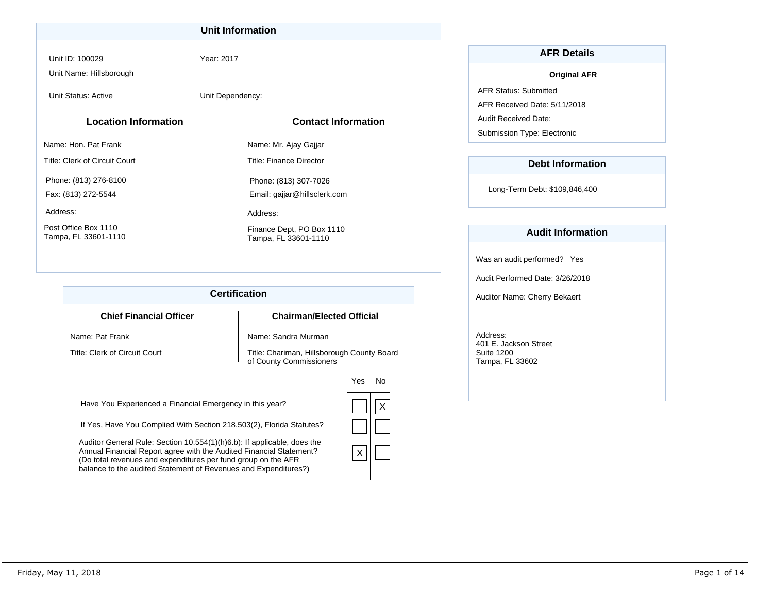### **Unit Information**

Unit ID: 100029

Unit Name: Hillsborough

Unit Status: Active

Unit Dependency:

Year: 2017

## **Location Information**

Name: Hon. Pat Frank

Title: Clerk of Circuit Court

Phone: (813) 276-8100

Fax: (813) 272-5544

Address:

Post Office Box 1110 Tampa, FL 33601-1110

## **Contact Information**

Name: Mr. Ajay Gajjar

Title: Finance Director

Phone: (813) 307-7026

Email: gajjar@hillsclerk.com

Address:

Finance Dept, PO Box 1110 Tampa, FL 33601-1110

| <b>Chairman/Elected Official</b><br>Name: Sandra Murman<br>Title: Chariman, Hillsborough County Board<br>of County Commissioners<br>Yes<br>N٥                                                                                                                                           |
|-----------------------------------------------------------------------------------------------------------------------------------------------------------------------------------------------------------------------------------------------------------------------------------------|
|                                                                                                                                                                                                                                                                                         |
|                                                                                                                                                                                                                                                                                         |
|                                                                                                                                                                                                                                                                                         |
|                                                                                                                                                                                                                                                                                         |
| Have You Experienced a Financial Emergency in this year?<br>X                                                                                                                                                                                                                           |
| If Yes, Have You Complied With Section 218.503(2), Florida Statutes?                                                                                                                                                                                                                    |
| Auditor General Rule: Section 10.554(1)(h)6.b): If applicable, does the<br>Annual Financial Report agree with the Audited Financial Statement?<br>X<br>(Do total revenues and expenditures per fund group on the AFR<br>balance to the audited Statement of Revenues and Expenditures?) |
|                                                                                                                                                                                                                                                                                         |

## **AFR Details**

#### **Original AFR**

Audit Received Date: AFR Received Date: 5/11/2018 AFR Status: Submitted Submission Type: Electronic

## **Debt Information**

Long-Term Debt: \$109,846,400

### **Audit Information**

Was an audit performed? Yes

Audit Performed Date: 3/26/2018

Auditor Name: Cherry Bekaert

Address: 401 E. Jackson Street Suite 1200 Tampa, FL 33602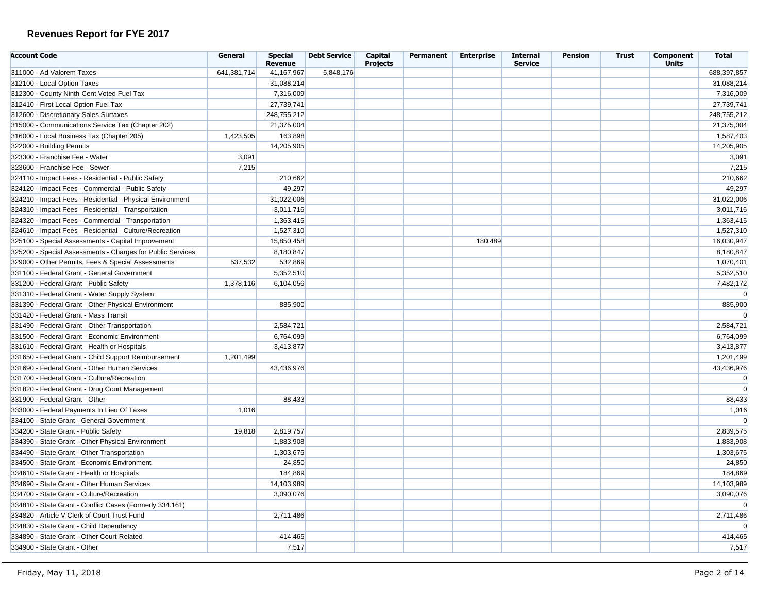# **Revenues Report for FYE 2017**

| <b>Account Code</b>                                        | General     | <b>Special</b><br><b>Revenue</b> | <b>Debt Service</b> | Capital<br><b>Projects</b> | Permanent | <b>Enterprise</b> | <b>Internal</b><br><b>Service</b> | <b>Pension</b> | <b>Trust</b> | <b>Component</b><br><b>Units</b> | <b>Total</b> |
|------------------------------------------------------------|-------------|----------------------------------|---------------------|----------------------------|-----------|-------------------|-----------------------------------|----------------|--------------|----------------------------------|--------------|
| 311000 - Ad Valorem Taxes                                  | 641,381,714 | 41,167,967                       | 5,848,176           |                            |           |                   |                                   |                |              |                                  | 688,397,857  |
| 312100 - Local Option Taxes                                |             | 31,088,214                       |                     |                            |           |                   |                                   |                |              |                                  | 31,088,214   |
| 312300 - County Ninth-Cent Voted Fuel Tax                  |             | 7,316,009                        |                     |                            |           |                   |                                   |                |              |                                  | 7,316,009    |
| 312410 - First Local Option Fuel Tax                       |             | 27,739,741                       |                     |                            |           |                   |                                   |                |              |                                  | 27,739,741   |
| 312600 - Discretionary Sales Surtaxes                      |             | 248,755,212                      |                     |                            |           |                   |                                   |                |              |                                  | 248,755,212  |
| 315000 - Communications Service Tax (Chapter 202)          |             | 21,375,004                       |                     |                            |           |                   |                                   |                |              |                                  | 21,375,004   |
| 316000 - Local Business Tax (Chapter 205)                  | 1,423,505   | 163,898                          |                     |                            |           |                   |                                   |                |              |                                  | 1,587,403    |
| 322000 - Building Permits                                  |             | 14,205,905                       |                     |                            |           |                   |                                   |                |              |                                  | 14,205,905   |
| 323300 - Franchise Fee - Water                             | 3,091       |                                  |                     |                            |           |                   |                                   |                |              |                                  | 3,091        |
| 323600 - Franchise Fee - Sewer                             | 7,215       |                                  |                     |                            |           |                   |                                   |                |              |                                  | 7,215        |
| 324110 - Impact Fees - Residential - Public Safety         |             | 210,662                          |                     |                            |           |                   |                                   |                |              |                                  | 210,662      |
| 324120 - Impact Fees - Commercial - Public Safety          |             | 49,297                           |                     |                            |           |                   |                                   |                |              |                                  | 49,297       |
| 324210 - Impact Fees - Residential - Physical Environment  |             | 31,022,006                       |                     |                            |           |                   |                                   |                |              |                                  | 31,022,006   |
| 324310 - Impact Fees - Residential - Transportation        |             | 3,011,716                        |                     |                            |           |                   |                                   |                |              |                                  | 3,011,716    |
| 324320 - Impact Fees - Commercial - Transportation         |             | 1,363,415                        |                     |                            |           |                   |                                   |                |              |                                  | 1,363,415    |
| 324610 - Impact Fees - Residential - Culture/Recreation    |             | 1,527,310                        |                     |                            |           |                   |                                   |                |              |                                  | 1,527,310    |
| 325100 - Special Assessments - Capital Improvement         |             | 15,850,458                       |                     |                            |           | 180,489           |                                   |                |              |                                  | 16,030,947   |
| 325200 - Special Assessments - Charges for Public Services |             | 8,180,847                        |                     |                            |           |                   |                                   |                |              |                                  | 8,180,847    |
| 329000 - Other Permits, Fees & Special Assessments         | 537,532     | 532,869                          |                     |                            |           |                   |                                   |                |              |                                  | 1,070,401    |
| 331100 - Federal Grant - General Government                |             | 5,352,510                        |                     |                            |           |                   |                                   |                |              |                                  | 5,352,510    |
| 331200 - Federal Grant - Public Safety                     | 1,378,116   | 6,104,056                        |                     |                            |           |                   |                                   |                |              |                                  | 7,482,172    |
| 331310 - Federal Grant - Water Supply System               |             |                                  |                     |                            |           |                   |                                   |                |              |                                  | $\mathbf 0$  |
| 331390 - Federal Grant - Other Physical Environment        |             | 885,900                          |                     |                            |           |                   |                                   |                |              |                                  | 885,900      |
| 331420 - Federal Grant - Mass Transit                      |             |                                  |                     |                            |           |                   |                                   |                |              |                                  | $\mathbf 0$  |
| 331490 - Federal Grant - Other Transportation              |             | 2,584,721                        |                     |                            |           |                   |                                   |                |              |                                  | 2,584,721    |
| 331500 - Federal Grant - Economic Environment              |             | 6,764,099                        |                     |                            |           |                   |                                   |                |              |                                  | 6,764,099    |
| 331610 - Federal Grant - Health or Hospitals               |             | 3,413,877                        |                     |                            |           |                   |                                   |                |              |                                  | 3,413,877    |
| 331650 - Federal Grant - Child Support Reimbursement       | 1,201,499   |                                  |                     |                            |           |                   |                                   |                |              |                                  | 1,201,499    |
| 331690 - Federal Grant - Other Human Services              |             | 43,436,976                       |                     |                            |           |                   |                                   |                |              |                                  | 43,436,976   |
| 331700 - Federal Grant - Culture/Recreation                |             |                                  |                     |                            |           |                   |                                   |                |              |                                  | $\mathbf 0$  |
| 331820 - Federal Grant - Drug Court Management             |             |                                  |                     |                            |           |                   |                                   |                |              |                                  | $\mathbf 0$  |
| 331900 - Federal Grant - Other                             |             | 88,433                           |                     |                            |           |                   |                                   |                |              |                                  | 88,433       |
| 333000 - Federal Payments In Lieu Of Taxes                 | 1,016       |                                  |                     |                            |           |                   |                                   |                |              |                                  | 1,016        |
| 334100 - State Grant - General Government                  |             |                                  |                     |                            |           |                   |                                   |                |              |                                  | $\mathbf 0$  |
| 334200 - State Grant - Public Safety                       | 19,818      | 2,819,757                        |                     |                            |           |                   |                                   |                |              |                                  | 2,839,575    |
| 334390 - State Grant - Other Physical Environment          |             | 1,883,908                        |                     |                            |           |                   |                                   |                |              |                                  | 1,883,908    |
| 334490 - State Grant - Other Transportation                |             | 1,303,675                        |                     |                            |           |                   |                                   |                |              |                                  | 1,303,675    |
| 334500 - State Grant - Economic Environment                |             | 24,850                           |                     |                            |           |                   |                                   |                |              |                                  | 24,850       |
| 334610 - State Grant - Health or Hospitals                 |             | 184,869                          |                     |                            |           |                   |                                   |                |              |                                  | 184,869      |
| 334690 - State Grant - Other Human Services                |             | 14,103,989                       |                     |                            |           |                   |                                   |                |              |                                  | 14,103,989   |
| 334700 - State Grant - Culture/Recreation                  |             | 3,090,076                        |                     |                            |           |                   |                                   |                |              |                                  | 3,090,076    |
| 334810 - State Grant - Conflict Cases (Formerly 334.161)   |             |                                  |                     |                            |           |                   |                                   |                |              |                                  | $\mathbf 0$  |
| 334820 - Article V Clerk of Court Trust Fund               |             | 2,711,486                        |                     |                            |           |                   |                                   |                |              |                                  | 2,711,486    |
| 334830 - State Grant - Child Dependency                    |             |                                  |                     |                            |           |                   |                                   |                |              |                                  | $\mathbf 0$  |
| 334890 - State Grant - Other Court-Related                 |             | 414,465                          |                     |                            |           |                   |                                   |                |              |                                  | 414,465      |
| 334900 - State Grant - Other                               |             | 7,517                            |                     |                            |           |                   |                                   |                |              |                                  | 7,517        |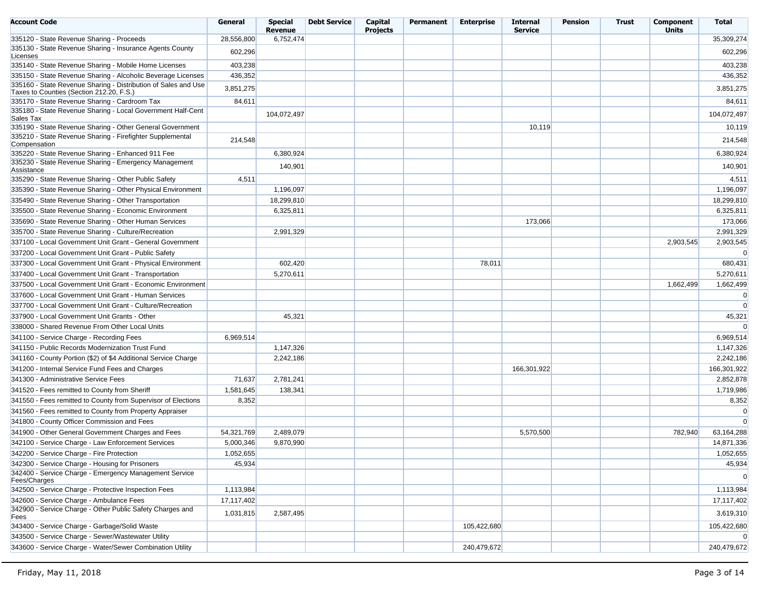| Account Code                                                                                               | General    | <b>Special</b><br><b>Revenue</b> | <b>Debt Service</b> | Capital<br><b>Projects</b> | Permanent | <b>Enterprise</b> | <b>Internal</b><br><b>Service</b> | <b>Pension</b> | <b>Trust</b> | Component<br><b>Units</b> | Total          |
|------------------------------------------------------------------------------------------------------------|------------|----------------------------------|---------------------|----------------------------|-----------|-------------------|-----------------------------------|----------------|--------------|---------------------------|----------------|
| 335120 - State Revenue Sharing - Proceeds                                                                  | 28,556,800 | 6,752,474                        |                     |                            |           |                   |                                   |                |              |                           | 35,309,274     |
| 335130 - State Revenue Sharing - Insurance Agents County<br>Licenses                                       | 602,296    |                                  |                     |                            |           |                   |                                   |                |              |                           | 602,296        |
| 335140 - State Revenue Sharing - Mobile Home Licenses                                                      | 403,238    |                                  |                     |                            |           |                   |                                   |                |              |                           | 403,238        |
| 335150 - State Revenue Sharing - Alcoholic Beverage Licenses                                               | 436,352    |                                  |                     |                            |           |                   |                                   |                |              |                           | 436,352        |
| 335160 - State Revenue Sharing - Distribution of Sales and Use<br>Taxes to Counties (Section 212.20, F.S.) | 3,851,275  |                                  |                     |                            |           |                   |                                   |                |              |                           | 3,851,275      |
| 335170 - State Revenue Sharing - Cardroom Tax                                                              | 84,611     |                                  |                     |                            |           |                   |                                   |                |              |                           | 84,611         |
| 335180 - State Revenue Sharing - Local Government Half-Cent<br>Sales Tax                                   |            | 104.072.497                      |                     |                            |           |                   |                                   |                |              |                           | 104,072,497    |
| 335190 - State Revenue Sharing - Other General Government                                                  |            |                                  |                     |                            |           |                   | 10,119                            |                |              |                           | 10,119         |
| 335210 - State Revenue Sharing - Firefighter Supplemental<br>Compensation                                  | 214,548    |                                  |                     |                            |           |                   |                                   |                |              |                           | 214,548        |
| 335220 - State Revenue Sharing - Enhanced 911 Fee                                                          |            | 6,380,924                        |                     |                            |           |                   |                                   |                |              |                           | 6,380,924      |
| 335230 - State Revenue Sharing - Emergency Management<br>Assistance                                        |            | 140,901                          |                     |                            |           |                   |                                   |                |              |                           | 140,901        |
| 335290 - State Revenue Sharing - Other Public Safety                                                       | 4,511      |                                  |                     |                            |           |                   |                                   |                |              |                           | 4,511          |
| 335390 - State Revenue Sharing - Other Physical Environment                                                |            | 1,196,097                        |                     |                            |           |                   |                                   |                |              |                           | 1,196,097      |
| 335490 - State Revenue Sharing - Other Transportation                                                      |            | 18,299,810                       |                     |                            |           |                   |                                   |                |              |                           | 18,299,810     |
| 335500 - State Revenue Sharing - Economic Environment                                                      |            | 6,325,811                        |                     |                            |           |                   |                                   |                |              |                           | 6,325,811      |
| 335690 - State Revenue Sharing - Other Human Services                                                      |            |                                  |                     |                            |           |                   | 173,066                           |                |              |                           | 173,066        |
| 335700 - State Revenue Sharing - Culture/Recreation                                                        |            | 2,991,329                        |                     |                            |           |                   |                                   |                |              |                           | 2,991,329      |
| 337100 - Local Government Unit Grant - General Government                                                  |            |                                  |                     |                            |           |                   |                                   |                |              | 2,903,545                 | 2,903,545      |
| 337200 - Local Government Unit Grant - Public Safety                                                       |            |                                  |                     |                            |           |                   |                                   |                |              |                           | $\overline{0}$ |
| 337300 - Local Government Unit Grant - Physical Environment                                                |            | 602,420                          |                     |                            |           | 78,011            |                                   |                |              |                           | 680,431        |
| 337400 - Local Government Unit Grant - Transportation                                                      |            | 5,270,611                        |                     |                            |           |                   |                                   |                |              |                           | 5,270,611      |
| 337500 - Local Government Unit Grant - Economic Environment                                                |            |                                  |                     |                            |           |                   |                                   |                |              | 1,662,499                 | 1,662,499      |
| 337600 - Local Government Unit Grant - Human Services                                                      |            |                                  |                     |                            |           |                   |                                   |                |              |                           | $\overline{0}$ |
| 337700 - Local Government Unit Grant - Culture/Recreation                                                  |            |                                  |                     |                            |           |                   |                                   |                |              |                           | $\overline{0}$ |
| 337900 - Local Government Unit Grants - Other                                                              |            | 45,321                           |                     |                            |           |                   |                                   |                |              |                           | 45,321         |
| 338000 - Shared Revenue From Other Local Units                                                             |            |                                  |                     |                            |           |                   |                                   |                |              |                           | $\Omega$       |
| 341100 - Service Charge - Recording Fees                                                                   | 6,969,514  |                                  |                     |                            |           |                   |                                   |                |              |                           | 6,969,514      |
| 341150 - Public Records Modernization Trust Fund                                                           |            | 1,147,326                        |                     |                            |           |                   |                                   |                |              |                           | 1,147,326      |
| 341160 - County Portion (\$2) of \$4 Additional Service Charge                                             |            | 2,242,186                        |                     |                            |           |                   |                                   |                |              |                           | 2,242,186      |
| 341200 - Internal Service Fund Fees and Charges                                                            |            |                                  |                     |                            |           |                   | 166,301,922                       |                |              |                           | 166,301,922    |
| 341300 - Administrative Service Fees                                                                       | 71,637     | 2,781,241                        |                     |                            |           |                   |                                   |                |              |                           | 2,852,878      |
| 341520 - Fees remitted to County from Sheriff                                                              | 1,581,645  | 138,341                          |                     |                            |           |                   |                                   |                |              |                           | 1,719,986      |
| 341550 - Fees remitted to County from Supervisor of Elections                                              | 8,352      |                                  |                     |                            |           |                   |                                   |                |              |                           | 8,352          |
| 341560 - Fees remitted to County from Property Appraiser                                                   |            |                                  |                     |                            |           |                   |                                   |                |              |                           | $\overline{0}$ |
| 341800 - County Officer Commission and Fees                                                                |            |                                  |                     |                            |           |                   |                                   |                |              |                           |                |
| 341900 - Other General Government Charges and Fees                                                         | 54,321,769 | 2,489,079                        |                     |                            |           |                   | 5,570,500                         |                |              | 782,940                   | 63,164,288     |
| 342100 - Service Charge - Law Enforcement Services                                                         | 5,000,346  | 9,870,990                        |                     |                            |           |                   |                                   |                |              |                           | 14,871,336     |
| 342200 - Service Charge - Fire Protection                                                                  | 1,052,655  |                                  |                     |                            |           |                   |                                   |                |              |                           | 1,052,655      |
| 342300 - Service Charge - Housing for Prisoners                                                            | 45,934     |                                  |                     |                            |           |                   |                                   |                |              |                           | 45,934         |
| 342400 - Service Charge - Emergency Management Service<br>Fees/Charges                                     |            |                                  |                     |                            |           |                   |                                   |                |              |                           |                |
| 342500 - Service Charge - Protective Inspection Fees                                                       | 1,113,984  |                                  |                     |                            |           |                   |                                   |                |              |                           | 1,113,984      |
| 342600 - Service Charge - Ambulance Fees                                                                   | 17,117,402 |                                  |                     |                            |           |                   |                                   |                |              |                           | 17,117,402     |
| 342900 - Service Charge - Other Public Safety Charges and<br>Fees                                          | 1,031,815  | 2,587,495                        |                     |                            |           |                   |                                   |                |              |                           | 3,619,310      |
| 343400 - Service Charge - Garbage/Solid Waste                                                              |            |                                  |                     |                            |           | 105,422,680       |                                   |                |              |                           | 105,422,680    |
| 343500 - Service Charge - Sewer/Wastewater Utility                                                         |            |                                  |                     |                            |           |                   |                                   |                |              |                           | $\overline{0}$ |
| 343600 - Service Charge - Water/Sewer Combination Utility                                                  |            |                                  |                     |                            |           | 240,479,672       |                                   |                |              |                           | 240,479,672    |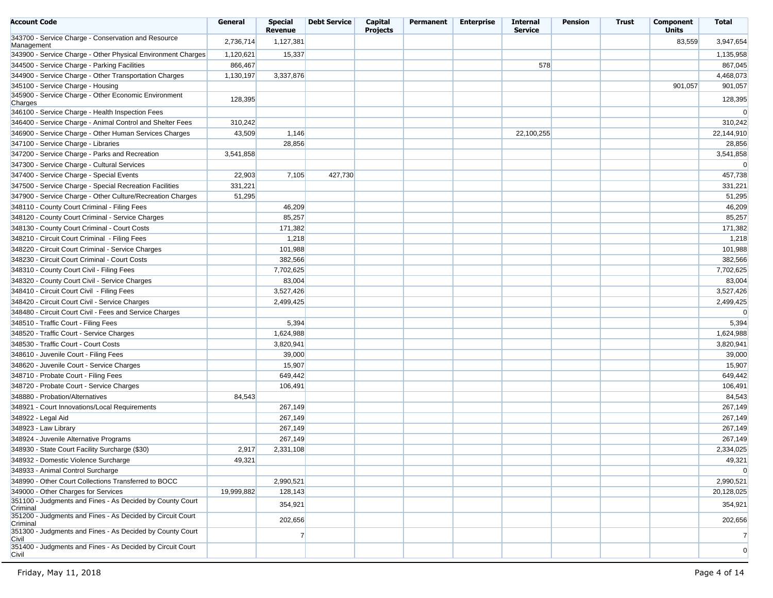| <b>Account Code</b>                                                    | General    | <b>Special</b><br><b>Revenue</b> | <b>Debt Service</b> | Capital<br><b>Projects</b> | Permanent | <b>Enterprise</b> | <b>Internal</b><br><b>Service</b> | <b>Pension</b> | <b>Trust</b> | Component<br><b>Units</b> | <b>Total</b>   |
|------------------------------------------------------------------------|------------|----------------------------------|---------------------|----------------------------|-----------|-------------------|-----------------------------------|----------------|--------------|---------------------------|----------------|
| 343700 - Service Charge - Conservation and Resource<br>Management      | 2,736,714  | 1,127,381                        |                     |                            |           |                   |                                   |                |              | 83,559                    | 3,947,654      |
| 343900 - Service Charge - Other Physical Environment Charges           | 1,120,621  | 15,337                           |                     |                            |           |                   |                                   |                |              |                           | 1,135,958      |
| 344500 - Service Charge - Parking Facilities                           | 866,467    |                                  |                     |                            |           |                   | 578                               |                |              |                           | 867,045        |
| 344900 - Service Charge - Other Transportation Charges                 | 1,130,197  | 3,337,876                        |                     |                            |           |                   |                                   |                |              |                           | 4,468,073      |
| 345100 - Service Charge - Housing                                      |            |                                  |                     |                            |           |                   |                                   |                |              | 901,057                   | 901,057        |
| 345900 - Service Charge - Other Economic Environment<br>Charges        | 128,395    |                                  |                     |                            |           |                   |                                   |                |              |                           | 128,395        |
| 346100 - Service Charge - Health Inspection Fees                       |            |                                  |                     |                            |           |                   |                                   |                |              |                           | $\overline{0}$ |
| 346400 - Service Charge - Animal Control and Shelter Fees              | 310,242    |                                  |                     |                            |           |                   |                                   |                |              |                           | 310,242        |
| 346900 - Service Charge - Other Human Services Charges                 | 43,509     | 1,146                            |                     |                            |           |                   | 22,100,255                        |                |              |                           | 22,144,910     |
| 347100 - Service Charge - Libraries                                    |            | 28,856                           |                     |                            |           |                   |                                   |                |              |                           | 28,856         |
| 347200 - Service Charge - Parks and Recreation                         | 3,541,858  |                                  |                     |                            |           |                   |                                   |                |              |                           | 3,541,858      |
| 347300 - Service Charge - Cultural Services                            |            |                                  |                     |                            |           |                   |                                   |                |              |                           | $\overline{0}$ |
| 347400 - Service Charge - Special Events                               | 22,903     | 7,105                            | 427,730             |                            |           |                   |                                   |                |              |                           | 457,738        |
| 347500 - Service Charge - Special Recreation Facilities                | 331,221    |                                  |                     |                            |           |                   |                                   |                |              |                           | 331,221        |
| 347900 - Service Charge - Other Culture/Recreation Charges             | 51,295     |                                  |                     |                            |           |                   |                                   |                |              |                           | 51,295         |
| 348110 - County Court Criminal - Filing Fees                           |            | 46,209                           |                     |                            |           |                   |                                   |                |              |                           | 46,209         |
| 348120 - County Court Criminal - Service Charges                       |            | 85,257                           |                     |                            |           |                   |                                   |                |              |                           | 85,257         |
| 348130 - County Court Criminal - Court Costs                           |            | 171,382                          |                     |                            |           |                   |                                   |                |              |                           | 171,382        |
| 348210 - Circuit Court Criminal - Filing Fees                          |            | 1,218                            |                     |                            |           |                   |                                   |                |              |                           | 1,218          |
| 348220 - Circuit Court Criminal - Service Charges                      |            | 101,988                          |                     |                            |           |                   |                                   |                |              |                           | 101,988        |
| 348230 - Circuit Court Criminal - Court Costs                          |            | 382,566                          |                     |                            |           |                   |                                   |                |              |                           | 382,566        |
| 348310 - County Court Civil - Filing Fees                              |            | 7,702,625                        |                     |                            |           |                   |                                   |                |              |                           | 7,702,625      |
| 348320 - County Court Civil - Service Charges                          |            | 83,004                           |                     |                            |           |                   |                                   |                |              |                           | 83,004         |
| 348410 - Circuit Court Civil - Filing Fees                             |            | 3,527,426                        |                     |                            |           |                   |                                   |                |              |                           | 3,527,426      |
| 348420 - Circuit Court Civil - Service Charges                         |            | 2,499,425                        |                     |                            |           |                   |                                   |                |              |                           | 2,499,425      |
| 348480 - Circuit Court Civil - Fees and Service Charges                |            |                                  |                     |                            |           |                   |                                   |                |              |                           | $\overline{0}$ |
| 348510 - Traffic Court - Filing Fees                                   |            | 5,394                            |                     |                            |           |                   |                                   |                |              |                           | 5,394          |
| 348520 - Traffic Court - Service Charges                               |            | 1,624,988                        |                     |                            |           |                   |                                   |                |              |                           | 1,624,988      |
| 348530 - Traffic Court - Court Costs                                   |            | 3,820,941                        |                     |                            |           |                   |                                   |                |              |                           | 3,820,941      |
| 348610 - Juvenile Court - Filing Fees                                  |            | 39,000                           |                     |                            |           |                   |                                   |                |              |                           | 39,000         |
| 348620 - Juvenile Court - Service Charges                              |            | 15,907                           |                     |                            |           |                   |                                   |                |              |                           | 15,907         |
| 348710 - Probate Court - Filing Fees                                   |            | 649,442                          |                     |                            |           |                   |                                   |                |              |                           | 649,442        |
| 348720 - Probate Court - Service Charges                               |            | 106,491                          |                     |                            |           |                   |                                   |                |              |                           | 106,491        |
| 348880 - Probation/Alternatives                                        | 84,543     |                                  |                     |                            |           |                   |                                   |                |              |                           | 84,543         |
| 348921 - Court Innovations/Local Requirements                          |            | 267,149                          |                     |                            |           |                   |                                   |                |              |                           | 267,149        |
| 348922 - Legal Aid                                                     |            | 267,149                          |                     |                            |           |                   |                                   |                |              |                           | 267,149        |
| 348923 - Law Library                                                   |            | 267,149                          |                     |                            |           |                   |                                   |                |              |                           | 267,149        |
| 348924 - Juvenile Alternative Programs                                 |            | 267,149                          |                     |                            |           |                   |                                   |                |              |                           | 267,149        |
| 348930 - State Court Facility Surcharge (\$30)                         | 2,917      | 2,331,108                        |                     |                            |           |                   |                                   |                |              |                           | 2,334,025      |
| 348932 - Domestic Violence Surcharge                                   | 49,321     |                                  |                     |                            |           |                   |                                   |                |              |                           | 49,321         |
| 348933 - Animal Control Surcharge                                      |            |                                  |                     |                            |           |                   |                                   |                |              |                           | $\overline{0}$ |
| 348990 - Other Court Collections Transferred to BOCC                   |            | 2,990,521                        |                     |                            |           |                   |                                   |                |              |                           | 2,990,521      |
| 349000 - Other Charges for Services                                    | 19,999,882 | 128,143                          |                     |                            |           |                   |                                   |                |              |                           | 20,128,025     |
| 351100 - Judgments and Fines - As Decided by County Court<br>Criminal  |            | 354,921                          |                     |                            |           |                   |                                   |                |              |                           | 354,921        |
| 351200 - Judgments and Fines - As Decided by Circuit Court<br>Criminal |            | 202,656                          |                     |                            |           |                   |                                   |                |              |                           | 202,656        |
| 351300 - Judgments and Fines - As Decided by County Court<br>Civil     |            | $\overline{7}$                   |                     |                            |           |                   |                                   |                |              |                           | $\overline{7}$ |
| 351400 - Judgments and Fines - As Decided by Circuit Court<br>Civil    |            |                                  |                     |                            |           |                   |                                   |                |              |                           | $\overline{0}$ |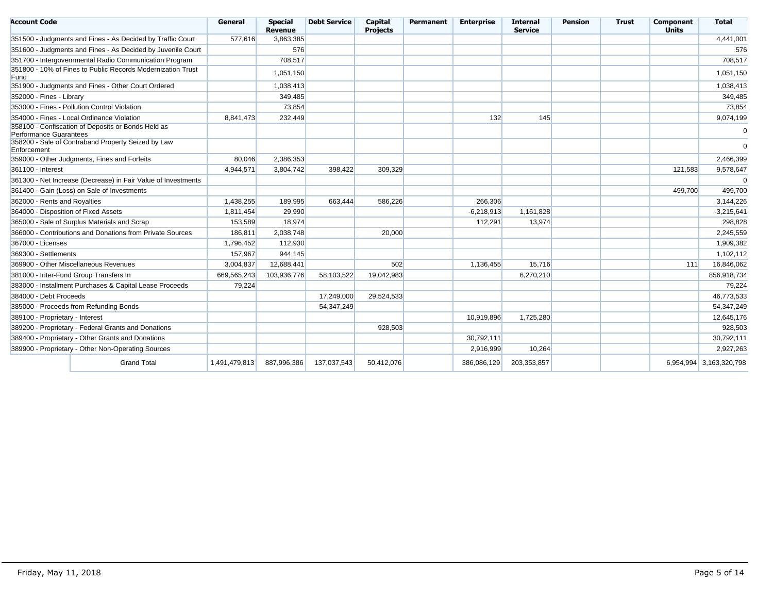| <b>Account Code</b>                  |                                                               | General       | <b>Special</b><br><b>Revenue</b> | <b>Debt Service</b> | Capital<br><b>Projects</b> | Permanent | <b>Enterprise</b> | <b>Internal</b><br><b>Service</b> | <b>Pension</b> | <b>Trust</b> | Component<br><b>Units</b> | <b>Total</b>            |
|--------------------------------------|---------------------------------------------------------------|---------------|----------------------------------|---------------------|----------------------------|-----------|-------------------|-----------------------------------|----------------|--------------|---------------------------|-------------------------|
|                                      | 351500 - Judgments and Fines - As Decided by Traffic Court    | 577.616       | 3.863.385                        |                     |                            |           |                   |                                   |                |              |                           | 4,441,001               |
|                                      | 351600 - Judgments and Fines - As Decided by Juvenile Court   |               | 576                              |                     |                            |           |                   |                                   |                |              |                           | 576                     |
|                                      | 351700 - Intergovernmental Radio Communication Program        |               | 708,517                          |                     |                            |           |                   |                                   |                |              |                           | 708,517                 |
| Fund                                 | 351800 - 10% of Fines to Public Records Modernization Trust   |               | 1,051,150                        |                     |                            |           |                   |                                   |                |              |                           | 1,051,150               |
|                                      | 351900 - Judgments and Fines - Other Court Ordered            |               | 1,038,413                        |                     |                            |           |                   |                                   |                |              |                           | 1,038,413               |
| 352000 - Fines - Library             |                                                               |               | 349,485                          |                     |                            |           |                   |                                   |                |              |                           | 349,485                 |
|                                      | 353000 - Fines - Pollution Control Violation                  |               | 73,854                           |                     |                            |           |                   |                                   |                |              |                           | 73,854                  |
|                                      | 354000 - Fines - Local Ordinance Violation                    | 8.841.473     | 232,449                          |                     |                            |           | 132               | 145                               |                |              |                           | 9,074,199               |
| Performance Guarantees               | 358100 - Confiscation of Deposits or Bonds Held as            |               |                                  |                     |                            |           |                   |                                   |                |              |                           | $\overline{0}$          |
| Enforcement                          | 358200 - Sale of Contraband Property Seized by Law            |               |                                  |                     |                            |           |                   |                                   |                |              |                           | $\Omega$                |
|                                      | 359000 - Other Judgments, Fines and Forfeits                  | 80,046        | 2,386,353                        |                     |                            |           |                   |                                   |                |              |                           | 2,466,399               |
| 361100 - Interest                    |                                                               | 4,944,571     | 3,804,742                        | 398,422             | 309,329                    |           |                   |                                   |                |              | 121,583                   | 9,578,647               |
|                                      | 361300 - Net Increase (Decrease) in Fair Value of Investments |               |                                  |                     |                            |           |                   |                                   |                |              |                           | $\Omega$                |
|                                      | 361400 - Gain (Loss) on Sale of Investments                   |               |                                  |                     |                            |           |                   |                                   |                |              | 499,700                   | 499,700                 |
| 362000 - Rents and Royalties         |                                                               | 1,438,255     | 189,995                          | 663,444             | 586,226                    |           | 266,306           |                                   |                |              |                           | 3,144,226               |
| 364000 - Disposition of Fixed Assets |                                                               | 1,811,454     | 29,990                           |                     |                            |           | $-6,218,913$      | 1,161,828                         |                |              |                           | $-3,215,641$            |
|                                      | 365000 - Sale of Surplus Materials and Scrap                  | 153,589       | 18,974                           |                     |                            |           | 112.291           | 13.974                            |                |              |                           | 298.828                 |
|                                      | 366000 - Contributions and Donations from Private Sources     | 186,811       | 2,038,748                        |                     | 20,000                     |           |                   |                                   |                |              |                           | 2,245,559               |
| 367000 - Licenses                    |                                                               | 1,796,452     | 112,930                          |                     |                            |           |                   |                                   |                |              |                           | 1,909,382               |
| 369300 - Settlements                 |                                                               | 157,967       | 944,145                          |                     |                            |           |                   |                                   |                |              |                           | 1,102,112               |
|                                      | 369900 - Other Miscellaneous Revenues                         | 3,004,837     | 12,688,441                       |                     | 502                        |           | 1,136,455         | 15,716                            |                |              | 111                       | 16,846,062              |
|                                      | 381000 - Inter-Fund Group Transfers In                        | 669,565,243   | 103,936,776                      | 58,103,522          | 19,042,983                 |           |                   | 6,270,210                         |                |              |                           | 856,918,734             |
|                                      | 383000 - Installment Purchases & Capital Lease Proceeds       | 79,224        |                                  |                     |                            |           |                   |                                   |                |              |                           | 79,224                  |
| 384000 - Debt Proceeds               |                                                               |               |                                  | 17,249,000          | 29,524,533                 |           |                   |                                   |                |              |                           | 46,773,533              |
|                                      | 385000 - Proceeds from Refunding Bonds                        |               |                                  | 54, 347, 249        |                            |           |                   |                                   |                |              |                           | 54,347,249              |
| 389100 - Proprietary - Interest      |                                                               |               |                                  |                     |                            |           | 10,919,896        | 1,725,280                         |                |              |                           | 12,645,176              |
|                                      | 389200 - Proprietary - Federal Grants and Donations           |               |                                  |                     | 928,503                    |           |                   |                                   |                |              |                           | 928,503                 |
|                                      | 389400 - Proprietary - Other Grants and Donations             |               |                                  |                     |                            |           | 30,792,111        |                                   |                |              |                           | 30,792,111              |
|                                      | 389900 - Proprietary - Other Non-Operating Sources            |               |                                  |                     |                            |           | 2,916,999         | 10,264                            |                |              |                           | 2,927,263               |
|                                      | <b>Grand Total</b>                                            | 1,491,479,813 | 887,996,386                      | 137,037,543         | 50,412,076                 |           | 386,086,129       | 203,353,857                       |                |              |                           | 6,954,994 3,163,320,798 |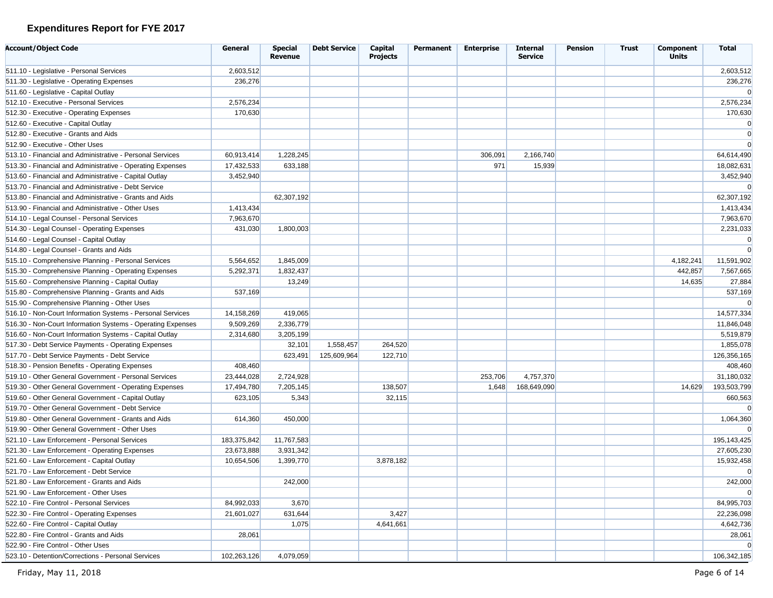# **Expenditures Report for FYE 2017**

| <b>Account/Object Code</b>                                  | General     | <b>Special</b><br><b>Revenue</b> | <b>Debt Service</b> | Capital<br><b>Projects</b> | Permanent | <b>Enterprise</b> | <b>Internal</b><br>Service | <b>Pension</b> | <b>Trust</b> | Component<br><b>Units</b> | <b>Total</b>   |
|-------------------------------------------------------------|-------------|----------------------------------|---------------------|----------------------------|-----------|-------------------|----------------------------|----------------|--------------|---------------------------|----------------|
| 511.10 - Legislative - Personal Services                    | 2,603,512   |                                  |                     |                            |           |                   |                            |                |              |                           | 2,603,512      |
| 511.30 - Legislative - Operating Expenses                   | 236,276     |                                  |                     |                            |           |                   |                            |                |              |                           | 236,276        |
| 511.60 - Legislative - Capital Outlay                       |             |                                  |                     |                            |           |                   |                            |                |              |                           | $\mathbf 0$    |
| 512.10 - Executive - Personal Services                      | 2,576,234   |                                  |                     |                            |           |                   |                            |                |              |                           | 2,576,234      |
| 512.30 - Executive - Operating Expenses                     | 170,630     |                                  |                     |                            |           |                   |                            |                |              |                           | 170,630        |
| 512.60 - Executive - Capital Outlay                         |             |                                  |                     |                            |           |                   |                            |                |              |                           | 0              |
| 512.80 - Executive - Grants and Aids                        |             |                                  |                     |                            |           |                   |                            |                |              |                           | $\mathbf 0$    |
| 512.90 - Executive - Other Uses                             |             |                                  |                     |                            |           |                   |                            |                |              |                           | $\mathbf 0$    |
| 513.10 - Financial and Administrative - Personal Services   | 60,913,414  | 1,228,245                        |                     |                            |           | 306,091           | 2,166,740                  |                |              |                           | 64,614,490     |
| 513.30 - Financial and Administrative - Operating Expenses  | 17,432,533  | 633,188                          |                     |                            |           | 971               | 15,939                     |                |              |                           | 18,082,631     |
| 513.60 - Financial and Administrative - Capital Outlay      | 3,452,940   |                                  |                     |                            |           |                   |                            |                |              |                           | 3,452,940      |
| 513.70 - Financial and Administrative - Debt Service        |             |                                  |                     |                            |           |                   |                            |                |              |                           | $\mathbf 0$    |
| 513.80 - Financial and Administrative - Grants and Aids     |             | 62,307,192                       |                     |                            |           |                   |                            |                |              |                           | 62,307,192     |
| 513.90 - Financial and Administrative - Other Uses          | 1,413,434   |                                  |                     |                            |           |                   |                            |                |              |                           | 1,413,434      |
| 514.10 - Legal Counsel - Personal Services                  | 7,963,670   |                                  |                     |                            |           |                   |                            |                |              |                           | 7,963,670      |
| 514.30 - Legal Counsel - Operating Expenses                 | 431,030     | 1,800,003                        |                     |                            |           |                   |                            |                |              |                           | 2,231,033      |
| 514.60 - Legal Counsel - Capital Outlay                     |             |                                  |                     |                            |           |                   |                            |                |              |                           | 0              |
| 514.80 - Legal Counsel - Grants and Aids                    |             |                                  |                     |                            |           |                   |                            |                |              |                           | $\mathbf 0$    |
| 515.10 - Comprehensive Planning - Personal Services         | 5,564,652   | 1,845,009                        |                     |                            |           |                   |                            |                |              | 4,182,241                 | 11,591,902     |
| 515.30 - Comprehensive Planning - Operating Expenses        | 5,292,371   | 1,832,437                        |                     |                            |           |                   |                            |                |              | 442,857                   | 7,567,665      |
| 515.60 - Comprehensive Planning - Capital Outlay            |             | 13,249                           |                     |                            |           |                   |                            |                |              | 14,635                    | 27,884         |
| 515.80 - Comprehensive Planning - Grants and Aids           | 537,169     |                                  |                     |                            |           |                   |                            |                |              |                           | 537,169        |
| 515.90 - Comprehensive Planning - Other Uses                |             |                                  |                     |                            |           |                   |                            |                |              |                           | $\Omega$       |
| 516.10 - Non-Court Information Systems - Personal Services  | 14,158,269  | 419,065                          |                     |                            |           |                   |                            |                |              |                           | 14,577,334     |
| 516.30 - Non-Court Information Systems - Operating Expenses | 9,509,269   | 2,336,779                        |                     |                            |           |                   |                            |                |              |                           | 11,846,048     |
| 516.60 - Non-Court Information Systems - Capital Outlay     | 2,314,680   | 3,205,199                        |                     |                            |           |                   |                            |                |              |                           | 5,519,879      |
| 517.30 - Debt Service Payments - Operating Expenses         |             | 32,101                           | 1,558,457           | 264,520                    |           |                   |                            |                |              |                           | 1,855,078      |
| 517.70 - Debt Service Payments - Debt Service               |             | 623,491                          | 125,609,964         | 122,710                    |           |                   |                            |                |              |                           | 126,356,165    |
| 518.30 - Pension Benefits - Operating Expenses              | 408,460     |                                  |                     |                            |           |                   |                            |                |              |                           | 408,460        |
| 519.10 - Other General Government - Personal Services       | 23,444,028  | 2,724,928                        |                     |                            |           | 253,706           | 4,757,370                  |                |              |                           | 31,180,032     |
| 519.30 - Other General Government - Operating Expenses      | 17,494,780  | 7,205,145                        |                     | 138,507                    |           | 1,648             | 168,649,090                |                |              | 14,629                    | 193,503,799    |
| 519.60 - Other General Government - Capital Outlay          | 623,105     | 5,343                            |                     | 32,115                     |           |                   |                            |                |              |                           | 660,563        |
| 519.70 - Other General Government - Debt Service            |             |                                  |                     |                            |           |                   |                            |                |              |                           | $\mathbf 0$    |
| 519.80 - Other General Government - Grants and Aids         | 614,360     | 450,000                          |                     |                            |           |                   |                            |                |              |                           | 1,064,360      |
| 519.90 - Other General Government - Other Uses              |             |                                  |                     |                            |           |                   |                            |                |              |                           | $\mathbf 0$    |
| 521.10 - Law Enforcement - Personal Services                | 183,375,842 | 11,767,583                       |                     |                            |           |                   |                            |                |              |                           | 195,143,425    |
| 521.30 - Law Enforcement - Operating Expenses               | 23,673,888  | 3,931,342                        |                     |                            |           |                   |                            |                |              |                           | 27,605,230     |
| 521.60 - Law Enforcement - Capital Outlay                   | 10,654,506  | 1,399,770                        |                     | 3,878,182                  |           |                   |                            |                |              |                           | 15,932,458     |
| 521.70 - Law Enforcement - Debt Service                     |             |                                  |                     |                            |           |                   |                            |                |              |                           | $\mathbf 0$    |
| 521.80 - Law Enforcement - Grants and Aids                  |             | 242,000                          |                     |                            |           |                   |                            |                |              |                           | 242,000        |
| 521.90 - Law Enforcement - Other Uses                       |             |                                  |                     |                            |           |                   |                            |                |              |                           | $\overline{0}$ |
| 522.10 - Fire Control - Personal Services                   | 84,992,033  | 3,670                            |                     |                            |           |                   |                            |                |              |                           | 84,995,703     |
| 522.30 - Fire Control - Operating Expenses                  | 21,601,027  | 631,644                          |                     | 3,427                      |           |                   |                            |                |              |                           | 22,236,098     |
| 522.60 - Fire Control - Capital Outlay                      |             | 1,075                            |                     | 4,641,661                  |           |                   |                            |                |              |                           | 4,642,736      |
| 522.80 - Fire Control - Grants and Aids                     | 28,061      |                                  |                     |                            |           |                   |                            |                |              |                           | 28,061         |
| 522.90 - Fire Control - Other Uses                          |             |                                  |                     |                            |           |                   |                            |                |              |                           | $\mathbf 0$    |
| 523.10 - Detention/Corrections - Personal Services          | 102,263,126 | 4,079,059                        |                     |                            |           |                   |                            |                |              |                           | 106,342,185    |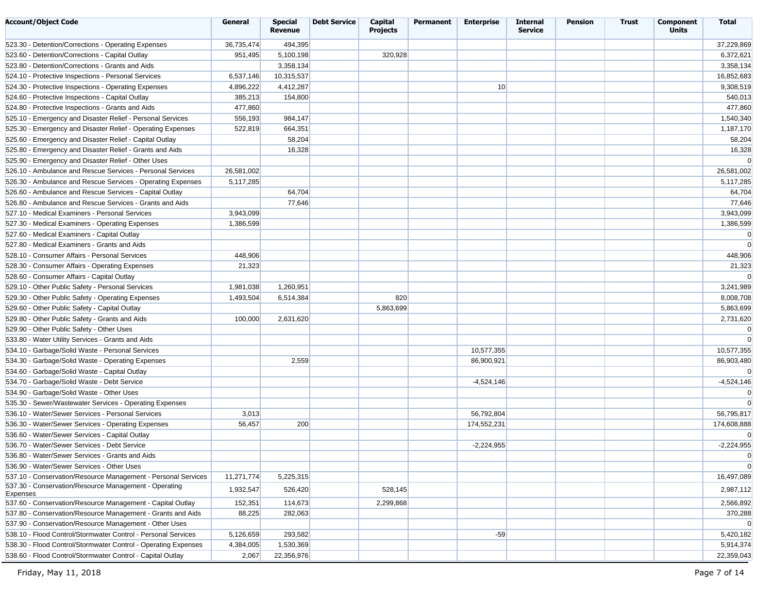| <b>Account/Object Code</b>                                     | General    | <b>Special</b><br><b>Revenue</b> | <b>Debt Service</b> | Capital<br><b>Projects</b> | Permanent | <b>Enterprise</b> | <b>Internal</b><br><b>Service</b> | <b>Pension</b> | <b>Trust</b> | Component<br><b>Units</b> | <b>Total</b>   |
|----------------------------------------------------------------|------------|----------------------------------|---------------------|----------------------------|-----------|-------------------|-----------------------------------|----------------|--------------|---------------------------|----------------|
| 523.30 - Detention/Corrections - Operating Expenses            | 36,735,474 | 494,395                          |                     |                            |           |                   |                                   |                |              |                           | 37,229,869     |
| 523.60 - Detention/Corrections - Capital Outlay                | 951,495    | 5,100,198                        |                     | 320,928                    |           |                   |                                   |                |              |                           | 6,372,621      |
| 523.80 - Detention/Corrections - Grants and Aids               |            | 3,358,134                        |                     |                            |           |                   |                                   |                |              |                           | 3,358,134      |
| 524.10 - Protective Inspections - Personal Services            | 6,537,146  | 10,315,537                       |                     |                            |           |                   |                                   |                |              |                           | 16,852,683     |
| 524.30 - Protective Inspections - Operating Expenses           | 4,896,222  | 4,412,287                        |                     |                            |           | 10 <sup>1</sup>   |                                   |                |              |                           | 9,308,519      |
| 524.60 - Protective Inspections - Capital Outlay               | 385,213    | 154,800                          |                     |                            |           |                   |                                   |                |              |                           | 540,013        |
| 524.80 - Protective Inspections - Grants and Aids              | 477,860    |                                  |                     |                            |           |                   |                                   |                |              |                           | 477,860        |
| 525.10 - Emergency and Disaster Relief - Personal Services     | 556,193    | 984,147                          |                     |                            |           |                   |                                   |                |              |                           | 1,540,340      |
| 525.30 - Emergency and Disaster Relief - Operating Expenses    | 522,819    | 664,351                          |                     |                            |           |                   |                                   |                |              |                           | 1,187,170      |
| 525.60 - Emergency and Disaster Relief - Capital Outlay        |            | 58,204                           |                     |                            |           |                   |                                   |                |              |                           | 58,204         |
| 525.80 - Emergency and Disaster Relief - Grants and Aids       |            | 16,328                           |                     |                            |           |                   |                                   |                |              |                           | 16,328         |
|                                                                |            |                                  |                     |                            |           |                   |                                   |                |              |                           | $\overline{0}$ |
| 525.90 - Emergency and Disaster Relief - Other Uses            |            |                                  |                     |                            |           |                   |                                   |                |              |                           |                |
| 526.10 - Ambulance and Rescue Services - Personal Services     | 26,581,002 |                                  |                     |                            |           |                   |                                   |                |              |                           | 26,581,002     |
| 526.30 - Ambulance and Rescue Services - Operating Expenses    | 5,117,285  |                                  |                     |                            |           |                   |                                   |                |              |                           | 5,117,285      |
| 526.60 - Ambulance and Rescue Services - Capital Outlay        |            | 64,704                           |                     |                            |           |                   |                                   |                |              |                           | 64,704         |
| 526.80 - Ambulance and Rescue Services - Grants and Aids       |            | 77,646                           |                     |                            |           |                   |                                   |                |              |                           | 77,646         |
| 527.10 - Medical Examiners - Personal Services                 | 3,943,099  |                                  |                     |                            |           |                   |                                   |                |              |                           | 3,943,099      |
| 527.30 - Medical Examiners - Operating Expenses                | 1,386,599  |                                  |                     |                            |           |                   |                                   |                |              |                           | 1,386,599      |
| 527.60 - Medical Examiners - Capital Outlay                    |            |                                  |                     |                            |           |                   |                                   |                |              |                           | $\overline{0}$ |
| 527.80 - Medical Examiners - Grants and Aids                   |            |                                  |                     |                            |           |                   |                                   |                |              |                           | $\Omega$       |
| 528.10 - Consumer Affairs - Personal Services                  | 448,906    |                                  |                     |                            |           |                   |                                   |                |              |                           | 448,906        |
| 528.30 - Consumer Affairs - Operating Expenses                 | 21,323     |                                  |                     |                            |           |                   |                                   |                |              |                           | 21,323         |
| 528.60 - Consumer Affairs - Capital Outlay                     |            |                                  |                     |                            |           |                   |                                   |                |              |                           | $\overline{0}$ |
| 529.10 - Other Public Safety - Personal Services               | 1,981,038  | 1,260,951                        |                     |                            |           |                   |                                   |                |              |                           | 3,241,989      |
| 529.30 - Other Public Safety - Operating Expenses              | 1,493,504  | 6,514,384                        |                     | 820                        |           |                   |                                   |                |              |                           | 8,008,708      |
| 529.60 - Other Public Safety - Capital Outlay                  |            |                                  |                     | 5,863,699                  |           |                   |                                   |                |              |                           | 5,863,699      |
| 529.80 - Other Public Safety - Grants and Aids                 | 100,000    | 2,631,620                        |                     |                            |           |                   |                                   |                |              |                           | 2,731,620      |
| 529.90 - Other Public Safety - Other Uses                      |            |                                  |                     |                            |           |                   |                                   |                |              |                           | $\overline{0}$ |
| 533.80 - Water Utility Services - Grants and Aids              |            |                                  |                     |                            |           |                   |                                   |                |              |                           | $\overline{0}$ |
| 534.10 - Garbage/Solid Waste - Personal Services               |            |                                  |                     |                            |           | 10,577,355        |                                   |                |              |                           | 10,577,355     |
| 534.30 - Garbage/Solid Waste - Operating Expenses              |            | 2,559                            |                     |                            |           | 86,900,921        |                                   |                |              |                           | 86,903,480     |
| 534.60 - Garbage/Solid Waste - Capital Outlay                  |            |                                  |                     |                            |           |                   |                                   |                |              |                           | $\overline{0}$ |
| 534.70 - Garbage/Solid Waste - Debt Service                    |            |                                  |                     |                            |           | $-4,524,146$      |                                   |                |              |                           | $-4,524,146$   |
| 534.90 - Garbage/Solid Waste - Other Uses                      |            |                                  |                     |                            |           |                   |                                   |                |              |                           | $\overline{0}$ |
| 535.30 - Sewer/Wastewater Services - Operating Expenses        |            |                                  |                     |                            |           |                   |                                   |                |              |                           | $\Omega$       |
| 536.10 - Water/Sewer Services - Personal Services              | 3,013      |                                  |                     |                            |           | 56,792,804        |                                   |                |              |                           | 56,795,817     |
| 536.30 - Water/Sewer Services - Operating Expenses             | 56,457     | 200                              |                     |                            |           | 174,552,231       |                                   |                |              |                           | 174,608,888    |
| 536.60 - Water/Sewer Services - Capital Outlay                 |            |                                  |                     |                            |           |                   |                                   |                |              |                           | $\overline{0}$ |
| 536.70 - Water/Sewer Services - Debt Service                   |            |                                  |                     |                            |           | $-2,224,955$      |                                   |                |              |                           | $-2,224,955$   |
| 536.80 - Water/Sewer Services - Grants and Aids                |            |                                  |                     |                            |           |                   |                                   |                |              |                           | $\overline{0}$ |
| 536.90 - Water/Sewer Services - Other Uses                     |            |                                  |                     |                            |           |                   |                                   |                |              |                           | $\overline{0}$ |
| 537.10 - Conservation/Resource Management - Personal Services  | 11,271,774 | 5,225,315                        |                     |                            |           |                   |                                   |                |              |                           | 16,497,089     |
| 537.30 - Conservation/Resource Management - Operating          |            |                                  |                     |                            |           |                   |                                   |                |              |                           |                |
| Expenses                                                       | 1,932,547  | 526,420                          |                     | 528,145                    |           |                   |                                   |                |              |                           | 2,987,112      |
| 537.60 - Conservation/Resource Management - Capital Outlay     | 152,351    | 114,673                          |                     | 2,299,868                  |           |                   |                                   |                |              |                           | 2,566,892      |
| 537.80 - Conservation/Resource Management - Grants and Aids    | 88,225     | 282,063                          |                     |                            |           |                   |                                   |                |              |                           | 370,288        |
| 537.90 - Conservation/Resource Management - Other Uses         |            |                                  |                     |                            |           |                   |                                   |                |              |                           | $\overline{0}$ |
| 538.10 - Flood Control/Stormwater Control - Personal Services  | 5,126,659  | 293,582                          |                     |                            |           | $-59$             |                                   |                |              |                           | 5,420,182      |
| 538.30 - Flood Control/Stormwater Control - Operating Expenses | 4,384,005  | 1,530,369                        |                     |                            |           |                   |                                   |                |              |                           | 5,914,374      |
| 538.60 - Flood Control/Stormwater Control - Capital Outlay     | 2,067      | 22,356,976                       |                     |                            |           |                   |                                   |                |              |                           | 22,359,043     |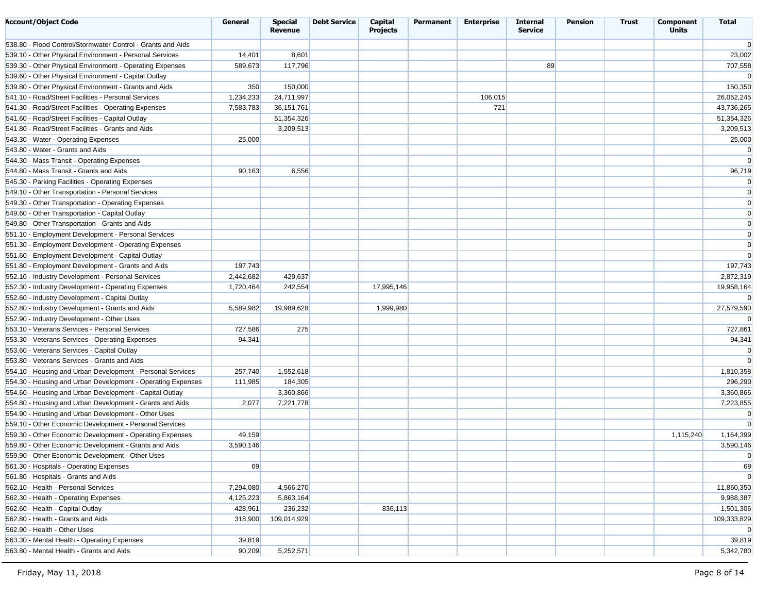| <b>Account/Object Code</b>                                  | General   | <b>Special</b><br><b>Revenue</b> | <b>Debt Service</b> | Capital<br><b>Projects</b> | Permanent | <b>Enterprise</b> | <b>Internal</b><br><b>Service</b> | <b>Pension</b> | <b>Trust</b> | Component<br><b>Units</b> | <b>Total</b>                     |
|-------------------------------------------------------------|-----------|----------------------------------|---------------------|----------------------------|-----------|-------------------|-----------------------------------|----------------|--------------|---------------------------|----------------------------------|
| 538.80 - Flood Control/Stormwater Control - Grants and Aids |           |                                  |                     |                            |           |                   |                                   |                |              |                           | $\overline{0}$                   |
| 539.10 - Other Physical Environment - Personal Services     | 14,401    | 8,601                            |                     |                            |           |                   |                                   |                |              |                           | 23,002                           |
| 539.30 - Other Physical Environment - Operating Expenses    | 589,673   | 117,796                          |                     |                            |           |                   | 89                                |                |              |                           | 707,558                          |
| 539.60 - Other Physical Environment - Capital Outlay        |           |                                  |                     |                            |           |                   |                                   |                |              |                           | $\overline{0}$                   |
| 539.80 - Other Physical Environment - Grants and Aids       | 350       | 150,000                          |                     |                            |           |                   |                                   |                |              |                           | 150,350                          |
| 541.10 - Road/Street Facilities - Personal Services         | 1,234,233 | 24,711,997                       |                     |                            |           | 106,015           |                                   |                |              |                           | 26,052,245                       |
| 541.30 - Road/Street Facilities - Operating Expenses        | 7,583,783 | 36, 151, 761                     |                     |                            |           | 721               |                                   |                |              |                           | 43,736,265                       |
| 541.60 - Road/Street Facilities - Capital Outlay            |           | 51,354,326                       |                     |                            |           |                   |                                   |                |              |                           | 51,354,326                       |
| 541.80 - Road/Street Facilities - Grants and Aids           |           | 3,209,513                        |                     |                            |           |                   |                                   |                |              |                           | 3,209,513                        |
| 543.30 - Water - Operating Expenses                         | 25,000    |                                  |                     |                            |           |                   |                                   |                |              |                           | 25,000                           |
| 543.80 - Water - Grants and Aids                            |           |                                  |                     |                            |           |                   |                                   |                |              |                           | $\overline{0}$                   |
| 544.30 - Mass Transit - Operating Expenses                  |           |                                  |                     |                            |           |                   |                                   |                |              |                           | $\overline{0}$                   |
| 544.80 - Mass Transit - Grants and Aids                     | 90,163    | 6,556                            |                     |                            |           |                   |                                   |                |              |                           | 96,719                           |
| 545.30 - Parking Facilities - Operating Expenses            |           |                                  |                     |                            |           |                   |                                   |                |              |                           | $\overline{0}$                   |
| 549.10 - Other Transportation - Personal Services           |           |                                  |                     |                            |           |                   |                                   |                |              |                           | $\overline{0}$                   |
| 549.30 - Other Transportation - Operating Expenses          |           |                                  |                     |                            |           |                   |                                   |                |              |                           | $\overline{0}$                   |
| 549.60 - Other Transportation - Capital Outlay              |           |                                  |                     |                            |           |                   |                                   |                |              |                           | $\overline{0}$                   |
| 549.80 - Other Transportation - Grants and Aids             |           |                                  |                     |                            |           |                   |                                   |                |              |                           | $\overline{0}$                   |
|                                                             |           |                                  |                     |                            |           |                   |                                   |                |              |                           |                                  |
| 551.10 - Employment Development - Personal Services         |           |                                  |                     |                            |           |                   |                                   |                |              |                           | $\overline{0}$                   |
| 551.30 - Employment Development - Operating Expenses        |           |                                  |                     |                            |           |                   |                                   |                |              |                           | $\overline{0}$<br>$\overline{0}$ |
| 551.60 - Employment Development - Capital Outlay            |           |                                  |                     |                            |           |                   |                                   |                |              |                           |                                  |
| 551.80 - Employment Development - Grants and Aids           | 197,743   |                                  |                     |                            |           |                   |                                   |                |              |                           | 197,743                          |
| 552.10 - Industry Development - Personal Services           | 2,442,682 | 429,637                          |                     |                            |           |                   |                                   |                |              |                           | 2,872,319                        |
| 552.30 - Industry Development - Operating Expenses          | 1,720,464 | 242,554                          |                     | 17,995,146                 |           |                   |                                   |                |              |                           | 19,958,164                       |
| 552.60 - Industry Development - Capital Outlay              |           |                                  |                     |                            |           |                   |                                   |                |              |                           | $\overline{0}$                   |
| 552.80 - Industry Development - Grants and Aids             | 5,589,982 | 19,989,628                       |                     | 1,999,980                  |           |                   |                                   |                |              |                           | 27,579,590                       |
| 552.90 - Industry Development - Other Uses                  |           |                                  |                     |                            |           |                   |                                   |                |              |                           | $\overline{0}$                   |
| 553.10 - Veterans Services - Personal Services              | 727,586   | 275                              |                     |                            |           |                   |                                   |                |              |                           | 727,861                          |
| 553.30 - Veterans Services - Operating Expenses             | 94,341    |                                  |                     |                            |           |                   |                                   |                |              |                           | 94,341                           |
| 553.60 - Veterans Services - Capital Outlay                 |           |                                  |                     |                            |           |                   |                                   |                |              |                           | $\overline{0}$                   |
| 553.80 - Veterans Services - Grants and Aids                |           |                                  |                     |                            |           |                   |                                   |                |              |                           | $\Omega$                         |
| 554.10 - Housing and Urban Development - Personal Services  | 257,740   | 1,552,618                        |                     |                            |           |                   |                                   |                |              |                           | 1,810,358                        |
| 554.30 - Housing and Urban Development - Operating Expenses | 111,985   | 184,305                          |                     |                            |           |                   |                                   |                |              |                           | 296,290                          |
| 554.60 - Housing and Urban Development - Capital Outlay     |           | 3,360,866                        |                     |                            |           |                   |                                   |                |              |                           | 3,360,866                        |
| 554.80 - Housing and Urban Development - Grants and Aids    | 2,077     | 7,221,778                        |                     |                            |           |                   |                                   |                |              |                           | 7,223,855                        |
| 554.90 - Housing and Urban Development - Other Uses         |           |                                  |                     |                            |           |                   |                                   |                |              |                           | $\overline{0}$                   |
| 559.10 - Other Economic Development - Personal Services     |           |                                  |                     |                            |           |                   |                                   |                |              |                           | $\overline{0}$                   |
| 559.30 - Other Economic Development - Operating Expenses    | 49,159    |                                  |                     |                            |           |                   |                                   |                |              | 1,115,240                 | 1,164,399                        |
| 559.80 - Other Economic Development - Grants and Aids       | 3,590,146 |                                  |                     |                            |           |                   |                                   |                |              |                           | 3,590,146                        |
| 559.90 - Other Economic Development - Other Uses            |           |                                  |                     |                            |           |                   |                                   |                |              |                           | $\overline{0}$                   |
| 561.30 - Hospitals - Operating Expenses                     | 69        |                                  |                     |                            |           |                   |                                   |                |              |                           | 69                               |
| 561.80 - Hospitals - Grants and Aids                        |           |                                  |                     |                            |           |                   |                                   |                |              |                           | $\overline{0}$                   |
| 562.10 - Health - Personal Services                         | 7,294,080 | 4,566,270                        |                     |                            |           |                   |                                   |                |              |                           | 11,860,350                       |
| 562.30 - Health - Operating Expenses                        | 4,125,223 | 5,863,164                        |                     |                            |           |                   |                                   |                |              |                           | 9,988,387                        |
| 562.60 - Health - Capital Outlay                            | 428,961   | 236,232                          |                     | 836,113                    |           |                   |                                   |                |              |                           | 1,501,306                        |
| 562.80 - Health - Grants and Aids                           | 318,900   | 109,014,929                      |                     |                            |           |                   |                                   |                |              |                           | 109,333,829                      |
| 562.90 - Health - Other Uses                                |           |                                  |                     |                            |           |                   |                                   |                |              |                           | $\overline{0}$                   |
| 563.30 - Mental Health - Operating Expenses                 | 39,819    |                                  |                     |                            |           |                   |                                   |                |              |                           | 39,819                           |
| 563.80 - Mental Health - Grants and Aids                    | 90,209    | 5,252,571                        |                     |                            |           |                   |                                   |                |              |                           | 5,342,780                        |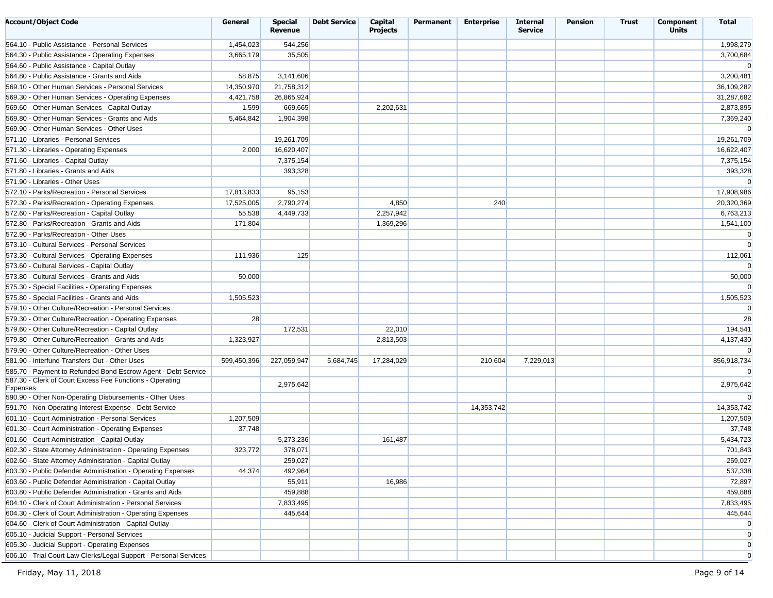| <b>Account/Object Code</b>                                                                                                | General     | <b>Special</b><br><b>Revenue</b> | <b>Debt Service</b> | Capital<br><b>Projects</b> | Permanent | <b>Enterprise</b> | <b>Internal</b><br><b>Service</b> | <b>Pension</b> | <b>Trust</b> | Component<br><b>Units</b> | <b>Total</b>   |
|---------------------------------------------------------------------------------------------------------------------------|-------------|----------------------------------|---------------------|----------------------------|-----------|-------------------|-----------------------------------|----------------|--------------|---------------------------|----------------|
| 564.10 - Public Assistance - Personal Services                                                                            | 1,454,023   | 544,256                          |                     |                            |           |                   |                                   |                |              |                           | 1,998,279      |
| 564.30 - Public Assistance - Operating Expenses                                                                           | 3,665,179   | 35,505                           |                     |                            |           |                   |                                   |                |              |                           | 3,700,684      |
| 564.60 - Public Assistance - Capital Outlay                                                                               |             |                                  |                     |                            |           |                   |                                   |                |              |                           | $\overline{0}$ |
| 564.80 - Public Assistance - Grants and Aids                                                                              | 58,875      | 3,141,606                        |                     |                            |           |                   |                                   |                |              |                           | 3,200,481      |
| 569.10 - Other Human Services - Personal Services                                                                         | 14,350,970  | 21,758,312                       |                     |                            |           |                   |                                   |                |              |                           | 36,109,282     |
| 569.30 - Other Human Services - Operating Expenses                                                                        | 4,421,758   | 26,865,924                       |                     |                            |           |                   |                                   |                |              |                           | 31,287,682     |
| 569.60 - Other Human Services - Capital Outlay                                                                            | 1,599       | 669,665                          |                     | 2,202,631                  |           |                   |                                   |                |              |                           | 2,873,895      |
| 569.80 - Other Human Services - Grants and Aids                                                                           | 5,464,842   | 1,904,398                        |                     |                            |           |                   |                                   |                |              |                           | 7,369,240      |
| 569.90 - Other Human Services - Other Uses                                                                                |             |                                  |                     |                            |           |                   |                                   |                |              |                           | $\overline{0}$ |
| 571.10 - Libraries - Personal Services                                                                                    |             | 19,261,709                       |                     |                            |           |                   |                                   |                |              |                           | 19,261,709     |
| 571.30 - Libraries - Operating Expenses                                                                                   | 2,000       | 16,620,407                       |                     |                            |           |                   |                                   |                |              |                           | 16,622,407     |
| 571.60 - Libraries - Capital Outlay                                                                                       |             | 7,375,154                        |                     |                            |           |                   |                                   |                |              |                           | 7,375,154      |
| 571.80 - Libraries - Grants and Aids                                                                                      |             | 393,328                          |                     |                            |           |                   |                                   |                |              |                           | 393,328        |
| 571.90 - Libraries - Other Uses                                                                                           |             |                                  |                     |                            |           |                   |                                   |                |              |                           | $\Omega$       |
| 572.10 - Parks/Recreation - Personal Services                                                                             | 17,813,833  | 95,153                           |                     |                            |           |                   |                                   |                |              |                           | 17,908,986     |
| 572.30 - Parks/Recreation - Operating Expenses                                                                            | 17,525,005  | 2,790,274                        |                     | 4,850                      |           | 240               |                                   |                |              |                           | 20,320,369     |
| 572.60 - Parks/Recreation - Capital Outlay                                                                                | 55,538      | 4,449,733                        |                     | 2,257,942                  |           |                   |                                   |                |              |                           | 6,763,213      |
| 572.80 - Parks/Recreation - Grants and Aids                                                                               | 171,804     |                                  |                     | 1,369,296                  |           |                   |                                   |                |              |                           | 1,541,100      |
| 572.90 - Parks/Recreation - Other Uses                                                                                    |             |                                  |                     |                            |           |                   |                                   |                |              |                           | $\overline{0}$ |
| 573.10 - Cultural Services - Personal Services                                                                            |             |                                  |                     |                            |           |                   |                                   |                |              |                           | $\Omega$       |
| 573.30 - Cultural Services - Operating Expenses                                                                           | 111,936     | 125                              |                     |                            |           |                   |                                   |                |              |                           | 112,061        |
| 573.60 - Cultural Services - Capital Outlay                                                                               |             |                                  |                     |                            |           |                   |                                   |                |              |                           | $\overline{0}$ |
| 573.80 - Cultural Services - Grants and Aids                                                                              | 50,000      |                                  |                     |                            |           |                   |                                   |                |              |                           | 50,000         |
| 575.30 - Special Facilities - Operating Expenses                                                                          |             |                                  |                     |                            |           |                   |                                   |                |              |                           | $\overline{0}$ |
| 575.80 - Special Facilities - Grants and Aids                                                                             | 1,505,523   |                                  |                     |                            |           |                   |                                   |                |              |                           | 1,505,523      |
| 579.10 - Other Culture/Recreation - Personal Services                                                                     |             |                                  |                     |                            |           |                   |                                   |                |              |                           | $\overline{0}$ |
| 579.30 - Other Culture/Recreation - Operating Expenses                                                                    | 28          |                                  |                     |                            |           |                   |                                   |                |              |                           | 28             |
|                                                                                                                           |             |                                  |                     |                            |           |                   |                                   |                |              |                           |                |
| 579.60 - Other Culture/Recreation - Capital Outlay                                                                        |             | 172,531                          |                     | 22,010                     |           |                   |                                   |                |              |                           | 194,541        |
| 579.80 - Other Culture/Recreation - Grants and Aids                                                                       | 1,323,927   |                                  |                     | 2,813,503                  |           |                   |                                   |                |              |                           | 4,137,430      |
| 579.90 - Other Culture/Recreation - Other Uses                                                                            |             |                                  |                     |                            |           |                   |                                   |                |              |                           | $\Omega$       |
| 581.90 - Interfund Transfers Out - Other Uses                                                                             | 599,450,396 | 227,059,947                      | 5,684,745           | 17,284,029                 |           | 210,604           | 7,229,013                         |                |              |                           | 856,918,734    |
| 585.70 - Payment to Refunded Bond Escrow Agent - Debt Service<br>587.30 - Clerk of Court Excess Fee Functions - Operating |             |                                  |                     |                            |           |                   |                                   |                |              |                           | $\overline{0}$ |
| Expenses                                                                                                                  |             | 2,975,642                        |                     |                            |           |                   |                                   |                |              |                           | 2,975,642      |
| 590.90 - Other Non-Operating Disbursements - Other Uses                                                                   |             |                                  |                     |                            |           |                   |                                   |                |              |                           |                |
| 591.70 - Non-Operating Interest Expense - Debt Service                                                                    |             |                                  |                     |                            |           | 14,353,742        |                                   |                |              |                           | 14,353,742     |
| 601.10 - Court Administration - Personal Services                                                                         | 1,207,509   |                                  |                     |                            |           |                   |                                   |                |              |                           | 1,207,509      |
| 601.30 - Court Administration - Operating Expenses                                                                        | 37,748      |                                  |                     |                            |           |                   |                                   |                |              |                           | 37,748         |
| 601.60 - Court Administration - Capital Outlay                                                                            |             | 5,273,236                        |                     | 161,487                    |           |                   |                                   |                |              |                           | 5,434,723      |
| 602.30 - State Attorney Administration - Operating Expenses                                                               | 323,772     | 378,071                          |                     |                            |           |                   |                                   |                |              |                           | 701,843        |
| 602.60 - State Attorney Administration - Capital Outlay                                                                   |             | 259,027                          |                     |                            |           |                   |                                   |                |              |                           | 259,027        |
| 603.30 - Public Defender Administration - Operating Expenses                                                              | 44,374      | 492,964                          |                     |                            |           |                   |                                   |                |              |                           | 537,338        |
| 603.60 - Public Defender Administration - Capital Outlay                                                                  |             | 55,911                           |                     | 16,986                     |           |                   |                                   |                |              |                           | 72,897         |
| 603.80 - Public Defender Administration - Grants and Aids                                                                 |             | 459,888                          |                     |                            |           |                   |                                   |                |              |                           | 459,888        |
| 604.10 - Clerk of Court Administration - Personal Services                                                                |             | 7,833,495                        |                     |                            |           |                   |                                   |                |              |                           | 7,833,495      |
| 604.30 - Clerk of Court Administration - Operating Expenses                                                               |             | 445,644                          |                     |                            |           |                   |                                   |                |              |                           | 445,644        |
| 604.60 - Clerk of Court Administration - Capital Outlay                                                                   |             |                                  |                     |                            |           |                   |                                   |                |              |                           | $\overline{0}$ |
| 605.10 - Judicial Support - Personal Services                                                                             |             |                                  |                     |                            |           |                   |                                   |                |              |                           | $\overline{0}$ |
| 605.30 - Judicial Support - Operating Expenses                                                                            |             |                                  |                     |                            |           |                   |                                   |                |              |                           | $\overline{0}$ |
| 606.10 - Trial Court Law Clerks/Legal Support - Personal Services                                                         |             |                                  |                     |                            |           |                   |                                   |                |              |                           | $\overline{0}$ |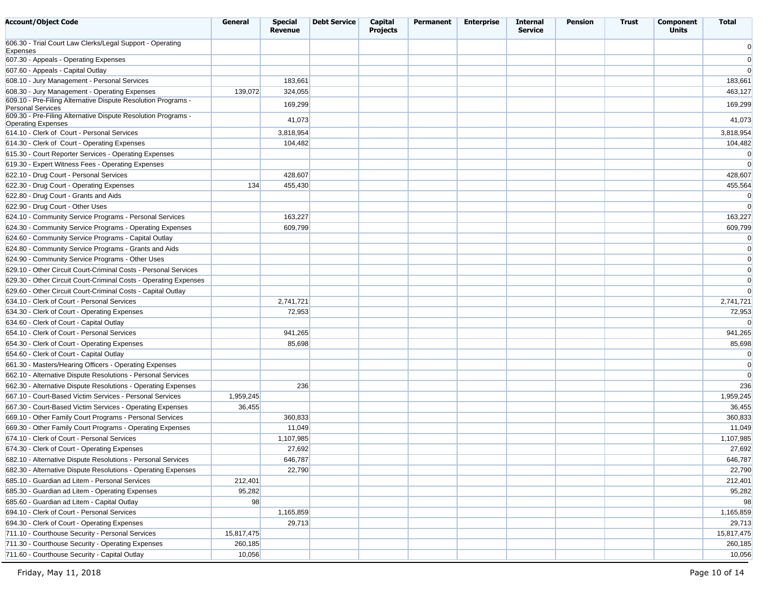| <b>Account/Object Code</b>                                                                 | General    | <b>Special</b><br><b>Revenue</b> | <b>Debt Service</b> | Capital<br><b>Projects</b> | Permanent | <b>Enterprise</b> | <b>Internal</b><br><b>Service</b> | <b>Pension</b> | <b>Trust</b> | Component<br><b>Units</b> | <b>Total</b>      |
|--------------------------------------------------------------------------------------------|------------|----------------------------------|---------------------|----------------------------|-----------|-------------------|-----------------------------------|----------------|--------------|---------------------------|-------------------|
| 606.30 - Trial Court Law Clerks/Legal Support - Operating<br><b>Expenses</b>               |            |                                  |                     |                            |           |                   |                                   |                |              |                           | $\overline{0}$    |
| 607.30 - Appeals - Operating Expenses                                                      |            |                                  |                     |                            |           |                   |                                   |                |              |                           | $\overline{0}$    |
| 607.60 - Appeals - Capital Outlay                                                          |            |                                  |                     |                            |           |                   |                                   |                |              |                           | $\Omega$          |
| 608.10 - Jury Management - Personal Services                                               |            | 183,661                          |                     |                            |           |                   |                                   |                |              |                           | 183,661           |
| 608.30 - Jury Management - Operating Expenses                                              | 139,072    | 324,055                          |                     |                            |           |                   |                                   |                |              |                           | 463,127           |
| 609.10 - Pre-Filing Alternative Dispute Resolution Programs -<br><b>Personal Services</b>  |            | 169,299                          |                     |                            |           |                   |                                   |                |              |                           | 169,299           |
| 609.30 - Pre-Filing Alternative Dispute Resolution Programs -<br><b>Operating Expenses</b> |            | 41,073                           |                     |                            |           |                   |                                   |                |              |                           | 41,073            |
| 614.10 - Clerk of Court - Personal Services                                                |            | 3,818,954                        |                     |                            |           |                   |                                   |                |              |                           | 3,818,954         |
| 614.30 - Clerk of Court - Operating Expenses                                               |            | 104,482                          |                     |                            |           |                   |                                   |                |              |                           | 104,482           |
| 615.30 - Court Reporter Services - Operating Expenses                                      |            |                                  |                     |                            |           |                   |                                   |                |              |                           | $\overline{0}$    |
| 619.30 - Expert Witness Fees - Operating Expenses                                          |            |                                  |                     |                            |           |                   |                                   |                |              |                           | $\overline{0}$    |
| 622.10 - Drug Court - Personal Services                                                    |            | 428,607                          |                     |                            |           |                   |                                   |                |              |                           | 428,607           |
| 622.30 - Drug Court - Operating Expenses                                                   | 134        | 455,430                          |                     |                            |           |                   |                                   |                |              |                           | 455,564           |
| 622.80 - Drug Court - Grants and Aids                                                      |            |                                  |                     |                            |           |                   |                                   |                |              |                           | $\overline{0}$    |
| 622.90 - Drug Court - Other Uses                                                           |            |                                  |                     |                            |           |                   |                                   |                |              |                           | $\overline{0}$    |
| 624.10 - Community Service Programs - Personal Services                                    |            | 163,227                          |                     |                            |           |                   |                                   |                |              |                           | 163,227           |
| 624.30 - Community Service Programs - Operating Expenses                                   |            | 609,799                          |                     |                            |           |                   |                                   |                |              |                           | 609,799           |
| 624.60 - Community Service Programs - Capital Outlay                                       |            |                                  |                     |                            |           |                   |                                   |                |              |                           | $\overline{0}$    |
| 624.80 - Community Service Programs - Grants and Aids                                      |            |                                  |                     |                            |           |                   |                                   |                |              |                           | $\overline{0}$    |
| 624.90 - Community Service Programs - Other Uses                                           |            |                                  |                     |                            |           |                   |                                   |                |              |                           | $\overline{0}$    |
| 629.10 - Other Circuit Court-Criminal Costs - Personal Services                            |            |                                  |                     |                            |           |                   |                                   |                |              |                           | $\overline{0}$    |
| 629.30 - Other Circuit Court-Criminal Costs - Operating Expenses                           |            |                                  |                     |                            |           |                   |                                   |                |              |                           | $\overline{0}$    |
| 629.60 - Other Circuit Court-Criminal Costs - Capital Outlay                               |            |                                  |                     |                            |           |                   |                                   |                |              |                           | $\overline{0}$    |
| 634.10 - Clerk of Court - Personal Services                                                |            | 2,741,721                        |                     |                            |           |                   |                                   |                |              |                           | 2,741,721         |
| 634.30 - Clerk of Court - Operating Expenses                                               |            | 72,953                           |                     |                            |           |                   |                                   |                |              |                           | 72,953            |
| 634.60 - Clerk of Court - Capital Outlay                                                   |            |                                  |                     |                            |           |                   |                                   |                |              |                           | $\overline{0}$    |
| 654.10 - Clerk of Court - Personal Services                                                |            | 941,265                          |                     |                            |           |                   |                                   |                |              |                           | 941,265           |
| 654.30 - Clerk of Court - Operating Expenses                                               |            | 85,698                           |                     |                            |           |                   |                                   |                |              |                           | 85,698            |
| 654.60 - Clerk of Court - Capital Outlay                                                   |            |                                  |                     |                            |           |                   |                                   |                |              |                           | $\overline{0}$    |
| 661.30 - Masters/Hearing Officers - Operating Expenses                                     |            |                                  |                     |                            |           |                   |                                   |                |              |                           | $\overline{0}$    |
| 662.10 - Alternative Dispute Resolutions - Personal Services                               |            |                                  |                     |                            |           |                   |                                   |                |              |                           | $\overline{0}$    |
| 662.30 - Alternative Dispute Resolutions - Operating Expenses                              |            | 236                              |                     |                            |           |                   |                                   |                |              |                           | 236               |
| 667.10 - Court-Based Victim Services - Personal Services                                   | 1,959,245  |                                  |                     |                            |           |                   |                                   |                |              |                           | 1,959,245         |
| 667.30 - Court-Based Victim Services - Operating Expenses                                  | 36,455     |                                  |                     |                            |           |                   |                                   |                |              |                           | 36,455            |
| 669.10 - Other Family Court Programs - Personal Services                                   |            | 360,833                          |                     |                            |           |                   |                                   |                |              |                           | 360,833           |
| 669.30 - Other Family Court Programs - Operating Expenses                                  |            | 11,049                           |                     |                            |           |                   |                                   |                |              |                           | 11,049            |
| 674.10 - Clerk of Court - Personal Services                                                |            | 1,107,985                        |                     |                            |           |                   |                                   |                |              |                           | 1,107,985         |
| 674.30 - Clerk of Court - Operating Expenses                                               |            | 27,692                           |                     |                            |           |                   |                                   |                |              |                           | 27,692            |
| 682.10 - Alternative Dispute Resolutions - Personal Services                               |            | 646,787                          |                     |                            |           |                   |                                   |                |              |                           | 646,787           |
| 682.30 - Alternative Dispute Resolutions - Operating Expenses                              |            | 22,790                           |                     |                            |           |                   |                                   |                |              |                           | 22,790            |
| 685.10 - Guardian ad Litem - Personal Services                                             | 212,401    |                                  |                     |                            |           |                   |                                   |                |              |                           | 212,401           |
| 685.30 - Guardian ad Litem - Operating Expenses                                            | 95,282     |                                  |                     |                            |           |                   |                                   |                |              |                           | 95,282            |
| 685.60 - Guardian ad Litem - Capital Outlay                                                | 98         |                                  |                     |                            |           |                   |                                   |                |              |                           | 98                |
| 694.10 - Clerk of Court - Personal Services                                                |            | 1,165,859                        |                     |                            |           |                   |                                   |                |              |                           | 1,165,859         |
| 694.30 - Clerk of Court - Operating Expenses                                               |            | 29,713                           |                     |                            |           |                   |                                   |                |              |                           | 29,713            |
| 711.10 - Courthouse Security - Personal Services                                           | 15,817,475 |                                  |                     |                            |           |                   |                                   |                |              |                           |                   |
| 711.30 - Courthouse Security - Operating Expenses                                          | 260,185    |                                  |                     |                            |           |                   |                                   |                |              |                           | 15,817,475        |
| 711.60 - Courthouse Security - Capital Outlay                                              | 10,056     |                                  |                     |                            |           |                   |                                   |                |              |                           | 260,185<br>10,056 |
|                                                                                            |            |                                  |                     |                            |           |                   |                                   |                |              |                           |                   |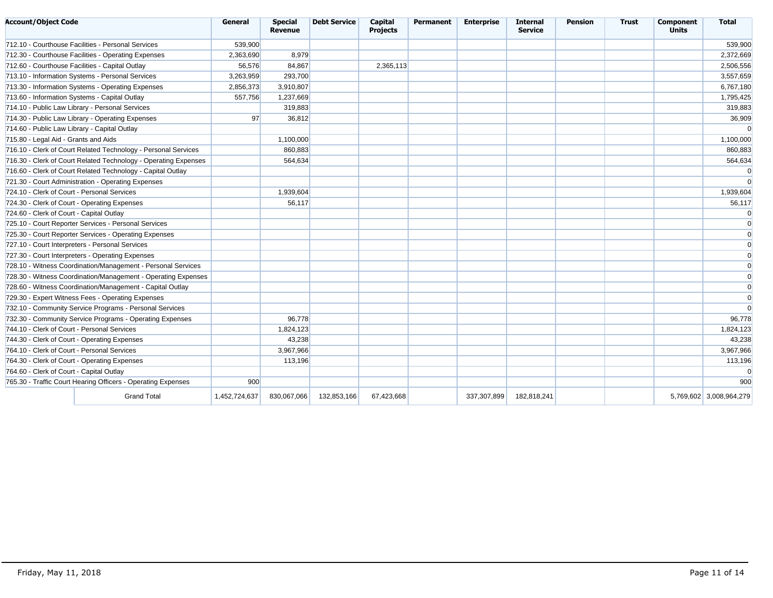| <b>Account/Object Code</b>                    |                                                                 | General       | <b>Special</b><br>Revenue | <b>Debt Service</b> | Capital<br><b>Projects</b> | Permanent | <b>Enterprise</b> | <b>Internal</b><br><b>Service</b> | <b>Pension</b> | <b>Trust</b> | Component<br><b>Units</b> | <b>Total</b>            |
|-----------------------------------------------|-----------------------------------------------------------------|---------------|---------------------------|---------------------|----------------------------|-----------|-------------------|-----------------------------------|----------------|--------------|---------------------------|-------------------------|
|                                               | 712.10 - Courthouse Facilities - Personal Services              | 539.900       |                           |                     |                            |           |                   |                                   |                |              |                           | 539.900                 |
|                                               | 712.30 - Courthouse Facilities - Operating Expenses             | 2,363,690     | 8,979                     |                     |                            |           |                   |                                   |                |              |                           | 2,372,669               |
|                                               | 712.60 - Courthouse Facilities - Capital Outlay                 | 56,576        | 84,867                    |                     | 2,365,113                  |           |                   |                                   |                |              |                           | 2,506,556               |
|                                               | 713.10 - Information Systems - Personal Services                | 3,263,959     | 293,700                   |                     |                            |           |                   |                                   |                |              |                           | 3,557,659               |
|                                               | 713.30 - Information Systems - Operating Expenses               | 2,856,373     | 3,910,807                 |                     |                            |           |                   |                                   |                |              |                           | 6,767,180               |
| 713.60 - Information Systems - Capital Outlay |                                                                 | 557,756       | 1,237,669                 |                     |                            |           |                   |                                   |                |              |                           | 1,795,425               |
|                                               | 714.10 - Public Law Library - Personal Services                 |               | 319,883                   |                     |                            |           |                   |                                   |                |              |                           | 319,883                 |
|                                               | 714.30 - Public Law Library - Operating Expenses                | 97            | 36,812                    |                     |                            |           |                   |                                   |                |              |                           | 36,909                  |
| 714.60 - Public Law Library - Capital Outlay  |                                                                 |               |                           |                     |                            |           |                   |                                   |                |              |                           | $\Omega$                |
| 715.80 - Legal Aid - Grants and Aids          |                                                                 |               | 1,100,000                 |                     |                            |           |                   |                                   |                |              |                           | 1,100,000               |
|                                               | 716.10 - Clerk of Court Related Technology - Personal Services  |               | 860,883                   |                     |                            |           |                   |                                   |                |              |                           | 860,883                 |
|                                               | 716.30 - Clerk of Court Related Technology - Operating Expenses |               | 564,634                   |                     |                            |           |                   |                                   |                |              |                           | 564,634                 |
|                                               | 716.60 - Clerk of Court Related Technology - Capital Outlay     |               |                           |                     |                            |           |                   |                                   |                |              |                           | $\Omega$                |
|                                               | 721.30 - Court Administration - Operating Expenses              |               |                           |                     |                            |           |                   |                                   |                |              |                           | $\Omega$                |
| 724.10 - Clerk of Court - Personal Services   |                                                                 |               | 1,939,604                 |                     |                            |           |                   |                                   |                |              |                           | 1,939,604               |
| 724.30 - Clerk of Court - Operating Expenses  |                                                                 |               | 56,117                    |                     |                            |           |                   |                                   |                |              |                           | 56,117                  |
| 724.60 - Clerk of Court - Capital Outlay      |                                                                 |               |                           |                     |                            |           |                   |                                   |                |              |                           | $\Omega$                |
|                                               | 725.10 - Court Reporter Services - Personal Services            |               |                           |                     |                            |           |                   |                                   |                |              |                           | $\Omega$                |
|                                               | 725.30 - Court Reporter Services - Operating Expenses           |               |                           |                     |                            |           |                   |                                   |                |              |                           | $\Omega$                |
|                                               | 727.10 - Court Interpreters - Personal Services                 |               |                           |                     |                            |           |                   |                                   |                |              |                           | $\Omega$                |
|                                               | 727.30 - Court Interpreters - Operating Expenses                |               |                           |                     |                            |           |                   |                                   |                |              |                           | $\Omega$                |
|                                               | 728.10 - Witness Coordination/Management - Personal Services    |               |                           |                     |                            |           |                   |                                   |                |              |                           | $\Omega$                |
|                                               | 728.30 - Witness Coordination/Management - Operating Expenses   |               |                           |                     |                            |           |                   |                                   |                |              |                           | $\Omega$                |
|                                               | 728.60 - Witness Coordination/Management - Capital Outlay       |               |                           |                     |                            |           |                   |                                   |                |              |                           | $\overline{0}$          |
|                                               | 729.30 - Expert Witness Fees - Operating Expenses               |               |                           |                     |                            |           |                   |                                   |                |              |                           | $\overline{0}$          |
|                                               | 732.10 - Community Service Programs - Personal Services         |               |                           |                     |                            |           |                   |                                   |                |              |                           | $\Omega$                |
|                                               | 732.30 - Community Service Programs - Operating Expenses        |               | 96,778                    |                     |                            |           |                   |                                   |                |              |                           | 96,778                  |
| 744.10 - Clerk of Court - Personal Services   |                                                                 |               | 1,824,123                 |                     |                            |           |                   |                                   |                |              |                           | 1,824,123               |
| 744.30 - Clerk of Court - Operating Expenses  |                                                                 |               | 43,238                    |                     |                            |           |                   |                                   |                |              |                           | 43,238                  |
| 764.10 - Clerk of Court - Personal Services   |                                                                 |               | 3,967,966                 |                     |                            |           |                   |                                   |                |              |                           | 3,967,966               |
| 764.30 - Clerk of Court - Operating Expenses  |                                                                 |               | 113,196                   |                     |                            |           |                   |                                   |                |              |                           | 113,196                 |
| 764.60 - Clerk of Court - Capital Outlay      |                                                                 |               |                           |                     |                            |           |                   |                                   |                |              |                           | $\Omega$                |
|                                               | 765.30 - Traffic Court Hearing Officers - Operating Expenses    | 900           |                           |                     |                            |           |                   |                                   |                |              |                           | 900                     |
|                                               | <b>Grand Total</b>                                              | 1,452,724,637 | 830,067,066               | 132,853,166         | 67,423,668                 |           | 337,307,899       | 182,818,241                       |                |              |                           | 5,769,602 3,008,964,279 |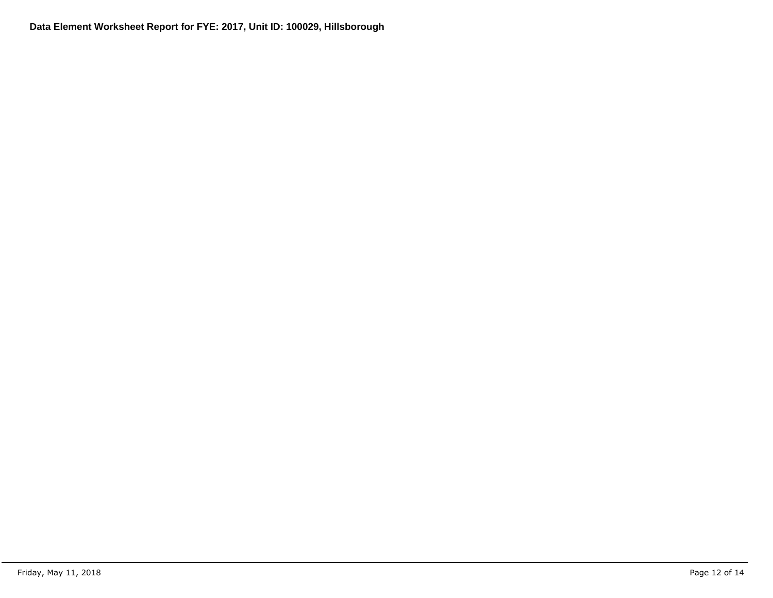**Data Element Worksheet Report for FYE: 2017, Unit ID: 100029, Hillsborough**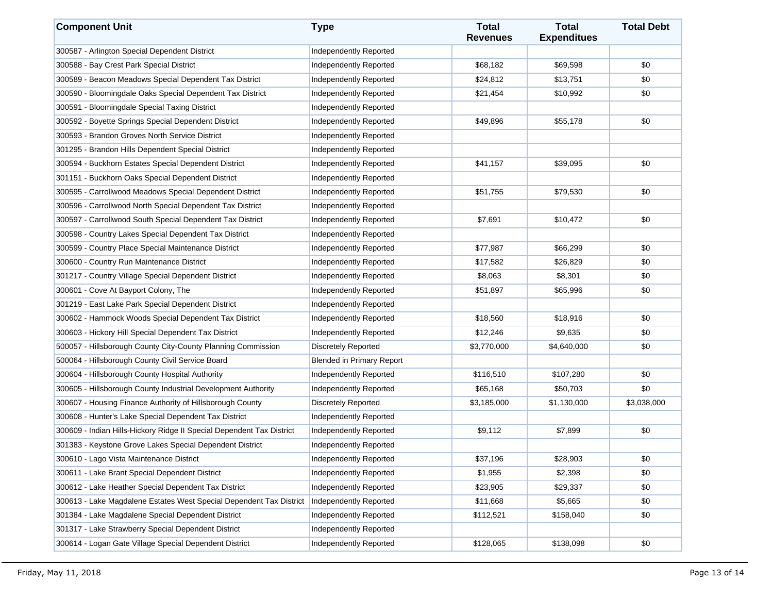| <b>Component Unit</b>                                                 | <b>Type</b>                      | <b>Total</b><br><b>Revenues</b> | <b>Total</b><br><b>Expenditues</b> | <b>Total Debt</b> |
|-----------------------------------------------------------------------|----------------------------------|---------------------------------|------------------------------------|-------------------|
| 300587 - Arlington Special Dependent District                         | Independently Reported           |                                 |                                    |                   |
| 300588 - Bay Crest Park Special District                              | Independently Reported           | \$68,182                        | \$69,598                           | \$0               |
| 300589 - Beacon Meadows Special Dependent Tax District                | Independently Reported           | \$24,812                        | \$13,751                           | \$0               |
| 300590 - Bloomingdale Oaks Special Dependent Tax District             | Independently Reported           | \$21,454                        | \$10,992                           | \$0               |
| 300591 - Bloomingdale Special Taxing District                         | Independently Reported           |                                 |                                    |                   |
| 300592 - Boyette Springs Special Dependent District                   | Independently Reported           | \$49,896                        | \$55,178                           | \$0               |
| 300593 - Brandon Groves North Service District                        | Independently Reported           |                                 |                                    |                   |
| 301295 - Brandon Hills Dependent Special District                     | Independently Reported           |                                 |                                    |                   |
| 300594 - Buckhorn Estates Special Dependent District                  | Independently Reported           | \$41,157                        | \$39,095                           | \$0               |
| 301151 - Buckhorn Oaks Special Dependent District                     | Independently Reported           |                                 |                                    |                   |
| 300595 - Carrollwood Meadows Special Dependent District               | Independently Reported           | \$51,755                        | \$79,530                           | \$0               |
| 300596 - Carrollwood North Special Dependent Tax District             | Independently Reported           |                                 |                                    |                   |
| 300597 - Carrollwood South Special Dependent Tax District             | Independently Reported           | \$7,691                         | \$10,472                           | \$0               |
| 300598 - Country Lakes Special Dependent Tax District                 | Independently Reported           |                                 |                                    |                   |
| 300599 - Country Place Special Maintenance District                   | Independently Reported           | \$77,987                        | \$66,299                           | \$0               |
| 300600 - Country Run Maintenance District                             | Independently Reported           | \$17,582                        | \$26,829                           | \$0               |
| 301217 - Country Village Special Dependent District                   | Independently Reported           | \$8,063                         | \$8,301                            | \$0               |
| 300601 - Cove At Bayport Colony, The                                  | <b>Independently Reported</b>    | \$51,897                        | \$65,996                           | \$0               |
| 301219 - East Lake Park Special Dependent District                    | Independently Reported           |                                 |                                    |                   |
| 300602 - Hammock Woods Special Dependent Tax District                 | Independently Reported           | \$18,560                        | \$18,916                           | \$0               |
| 300603 - Hickory Hill Special Dependent Tax District                  | Independently Reported           | \$12,246                        | \$9,635                            | \$0               |
| 500057 - Hillsborough County City-County Planning Commission          | <b>Discretely Reported</b>       | \$3,770,000                     | \$4,640,000                        | \$0               |
| 500064 - Hillsborough County Civil Service Board                      | <b>Blended in Primary Report</b> |                                 |                                    |                   |
| 300604 - Hillsborough County Hospital Authority                       | Independently Reported           | \$116,510                       | \$107,280                          | \$0               |
| 300605 - Hillsborough County Industrial Development Authority         | Independently Reported           | \$65,168                        | \$50,703                           | \$0               |
| 300607 - Housing Finance Authority of Hillsborough County             | <b>Discretely Reported</b>       | \$3,185,000                     | \$1,130,000                        | \$3,038,000       |
| 300608 - Hunter's Lake Special Dependent Tax District                 | Independently Reported           |                                 |                                    |                   |
| 300609 - Indian Hills-Hickory Ridge II Special Dependent Tax District | <b>Independently Reported</b>    | \$9,112                         | \$7.899                            | \$0               |
| 301383 - Keystone Grove Lakes Special Dependent District              | Independently Reported           |                                 |                                    |                   |
| 300610 - Lago Vista Maintenance District                              | Independently Reported           | \$37,196                        | \$28,903                           | \$0               |
| 300611 - Lake Brant Special Dependent District                        | <b>Independently Reported</b>    | \$1,955                         | \$2,398                            | \$0               |
| 300612 - Lake Heather Special Dependent Tax District                  | Independently Reported           | \$23,905                        | \$29,337                           | \$0               |
| 300613 - Lake Magdalene Estates West Special Dependent Tax District   | Independently Reported           | \$11,668                        | \$5,665                            | \$0               |
| 301384 - Lake Magdalene Special Dependent District                    | Independently Reported           | \$112,521                       | \$158,040                          | \$0               |
| 301317 - Lake Strawberry Special Dependent District                   | Independently Reported           |                                 |                                    |                   |
| 300614 - Logan Gate Village Special Dependent District                | Independently Reported           | \$128,065                       | \$138,098                          | \$0               |